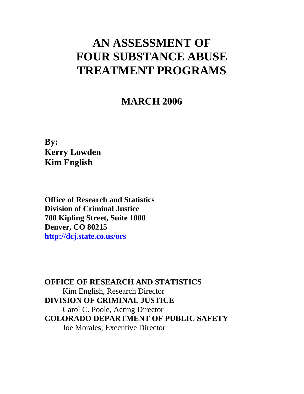# **AN ASSESSMENT OF FOUR SUBSTANCE ABUSE TREATMENT PROGRAMS**

# **MARCH 2006**

**By: Kerry Lowden Kim English** 

**Office of Research and Statistics Division of Criminal Justice 700 Kipling Street, Suite 1000 Denver, CO 80215 http://dcj.state.co.us/ors**

**OFFICE OF RESEARCH AND STATISTICS**  Kim English, Research Director **DIVISION OF CRIMINAL JUSTICE**  Carol C. Poole, Acting Director **COLORADO DEPARTMENT OF PUBLIC SAFETY**  Joe Morales, Executive Director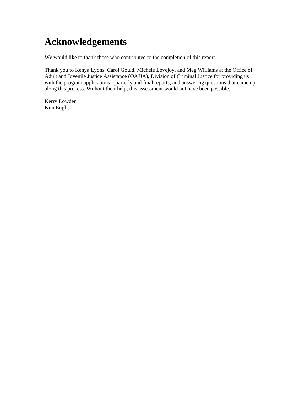# **Acknowledgements**

We would like to thank those who contributed to the completion of this report.

Thank you to Kenya Lyons, Carol Gould, Michele Lovejoy, and Meg Williams at the Office of Adult and Juvenile Justice Assistance (OAJJA), Division of Criminal Justice for providing us with the program applications, quarterly and final reports, and answering questions that came up along this process. Without their help, this assessment would not have been possible.

Kerry Lowden Kim English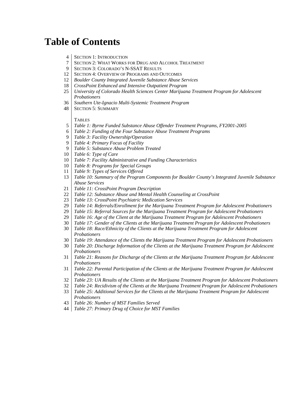# **Table of Contents**

- 4 SECTION 1: INTRODUCTION
- 7 SECTION 2: WHAT WORKS FOR DRUG AND ALCOHOL TREATMENT
- 9 SECTION 3: COLORADO'S N-SSAT RESULTS
- 12 SECTION 4: OVERVIEW OF PROGRAMS AND OUTCOMES
- *Boulder County Integrated Juvenile Substance Abuse Services*
- *CrossPoint Enhanced and Intensive Outpatient Program*
- *University of Colorado Health Sciences Center Marijuana Treatment Program for Adolescent Probationers*
- *Southern Ute-Ignacio Multi-Systemic Treatment Program*
- 48 | SECTION 5: SUMMARY

#### **TABLES**

- *Table 1: Byrne Funded Substance Abuse Offender Treatment Programs, FY2001-2005*
- *Table 2: Funding of the Four Substance Abuse Treatment Programs*
- *Table 3: Facility Ownership/Operation*
- *Table 4: Primary Focus of Facility*
- *Table 5: Substance Abuse Problem Treated*
- *Table 6: Type of Care*
- *Table 7: Facility Administrative and Funding Characteristics*
- *Table 8: Programs for Special Groups*
- *Table 9: Types of Services Offered*
- *Table 10: Summary of the Program Components for Boulder County's Integrated Juvenile Substance Abuse Services*
- *Table 11: CrossPoint Program Description*
- *Table 12: Substance Abuse and Mental Health Counseling at CrossPoint*
- *Table 13: CrossPoint Psychiatric Medication Services*
- *Table 14: Referrals/Enrollment for the Marijuana Treatment Program for Adolescent Probationers*
- *Table 15: Referral Sources for the Marijuana Treatment Program for Adolescent Probationers*
- *Table 16: Age of the Client at the Marijuana Treatment Program for Adolescent Probationers*
- *Table 17: Gender of the Clients at the Marijuana Treatment Program for Adolescent Probationers*
- *Table 18: Race/Ethnicity of the Clients at the Marijuana Treatment Program for Adolescent Probationers*
- *Table 19: Attendance of the Clients the Marijuana Treatment Program for Adolescent Probationers*
- *Table 20: Discharge Information of the Clients at the Marijuana Treatment Program for Adolescent Probationers*
- *Table 21: Reasons for Discharge of the Clients at the Marijuana Treatment Program for Adolescent Probationers*
- *Table 22: Parental Participation of the Clients at the Marijuana Treatment Program for Adolescent Probationers*
- *Table 23: UA Results of the Clients at the Marijuana Treatment Program for Adolescent Probationers*
- *Table 24: Recidivism of the Clients at the Marijuana Treatment Program for Adolescent Probationers*
- *Table 25: Additional Services for the Clients at the Marijuana Treatment Program for Adolescent Probationers*
- *Table 26: Number of MST Families Served*
- *Table 27: Primary Drug of Choice for MST Families*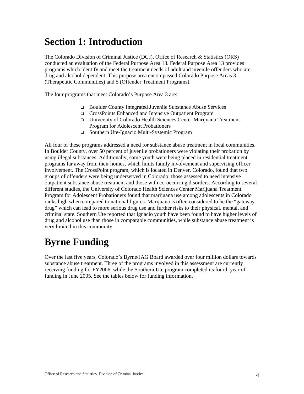# **Section 1: Introduction**

The Colorado Division of Criminal Justice (DCJ), Office of Research & Statistics (ORS) conducted an evaluation of the Federal Purpose Area 13. Federal Purpose Area 13 provides programs which identify and meet the treatment needs of adult and juvenile offenders who are drug and alcohol dependent. This purpose area encompassed Colorado Purpose Areas 3 (Therapeutic Communities) and 5 (Offender Treatment Programs).

The four programs that meet Colorado's Purpose Area 3 are:

- Boulder County Integrated Juvenile Substance Abuse Services
- CrossPoints Enhanced and Intensive Outpatient Program
- University of Colorado Health Sciences Center Marijuana Treatment Program for Adolescent Probationers
- Southern Ute-Ignacio Multi-Systemic Program

All four of these programs addressed a need for substance abuse treatment in local communities. In Boulder County, over 50 percent of juvenile probationers were violating their probation by using illegal substances. Additionally, some youth were being placed in residential treatment programs far away from their homes, which limits family involvement and supervising officer involvement. The CrossPoint program, which is located in Denver, Colorado, found that two groups of offenders were being underserved in Colorado: those assessed to need intensive outpatient substance abuse treatment and those with co-occurring disorders. According to several different studies, the University of Colorado Health Sciences Center Marijuana Treatment Program for Adolescent Probationers found that marijuana use among adolescents in Colorado ranks high when compared to national figures. Marijuana is often considered to be the "gateway drug" which can lead to more serious drug use and further risks to their physical, mental, and criminal state. Southern Ute reported that Ignacio youth have been found to have higher levels of drug and alcohol use than those in comparable communities, while substance abuse treatment is very limited in this community.

# **Byrne Funding**

Over the last five years, Colorado's Byrne/JAG Board awarded over four million dollars towards substance abuse treatment. Three of the programs involved in this assessment are currently receiving funding for FY2006, while the Southern Ute program completed its fourth year of funding in June 2005. See the tables below for funding information.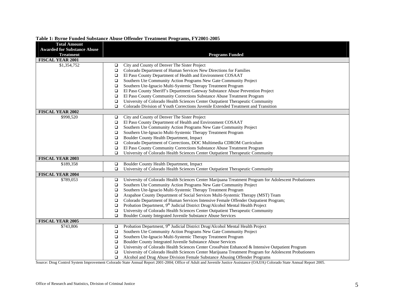| <b>Total Amount</b><br><b>Awarded for Substance Abuse</b> |        |                                                                                                       |
|-----------------------------------------------------------|--------|-------------------------------------------------------------------------------------------------------|
| <b>Treatment</b>                                          |        | <b>Programs Funded</b>                                                                                |
| <b>FISCAL YEAR 2001</b>                                   |        |                                                                                                       |
| \$1,354,752                                               | □      | City and County of Denver The Sister Project                                                          |
|                                                           | $\Box$ | Colorado Department of Human Services New Directions for Families                                     |
|                                                           | $\Box$ | El Paso County Department of Health and Environment COSAAT                                            |
|                                                           | $\Box$ | Southern Ute Community Action Programs New Gate Community Project                                     |
|                                                           | $\Box$ | Southern Ute-Ignacio Multi-Systemic Therapy Treatment Program                                         |
|                                                           | □      | El Paso County Sheriff's Department Gateway Substance Abuse Prevention Project                        |
|                                                           | $\Box$ | El Paso County Community Corrections Substance Abuse Treatment Program                                |
|                                                           | $\Box$ | University of Colorado Health Sciences Center Outpatient Therapeutic Community                        |
|                                                           | $\Box$ | Colorado Division of Youth Corrections Juvenile Extended Treatment and Transition                     |
| <b>FISCAL YEAR 2002</b>                                   |        |                                                                                                       |
| \$998,520                                                 | $\Box$ | City and County of Denver The Sister Project                                                          |
|                                                           | $\Box$ | El Paso County Department of Health and Environment COSAAT                                            |
|                                                           | ❏      | Southern Ute Community Action Programs New Gate Community Project                                     |
|                                                           | $\Box$ | Southern Ute-Ignacio Multi-Systemic Therapy Treatment Program                                         |
|                                                           | □      | Boulder County Health Department, Impact                                                              |
|                                                           | $\Box$ | Colorado Department of Corrections, DOC Multimedia CDROM Curriculum                                   |
|                                                           | □      | El Paso County Community Corrections Substance Abuse Treatment Program                                |
|                                                           | $\Box$ | University of Colorado Health Sciences Center Outpatient Therapeutic Community                        |
| <b>FISCAL YEAR 2003</b>                                   |        |                                                                                                       |
| \$189,358                                                 | $\Box$ | Boulder County Health Department, Impact                                                              |
|                                                           | $\Box$ | University of Colorado Health Sciences Center Outpatient Therapeutic Community                        |
| <b>FISCAL YEAR 2004</b>                                   |        |                                                                                                       |
| \$789,053                                                 | $\Box$ | University of Colorado Health Sciences Center Marijuana Treatment Program for Adolescent Probationers |
|                                                           | $\Box$ | Southern Ute Community Action Programs New Gate Community Project                                     |
|                                                           | □      | Southern Ute-Ignacio Multi-Systemic Therapy Treatment Program                                         |
|                                                           | $\Box$ | Arapahoe County Department of Social Services Multi-Systemic Therapy (MST) Team                       |
|                                                           | □      | Colorado Department of Human Services Intensive Female Offender Outpatient Program;                   |
|                                                           | $\Box$ | Probation Department, 9 <sup>th</sup> Judicial District Drug/Alcohol Mental Health Project            |
|                                                           | $\Box$ | University of Colorado Health Sciences Center Outpatient Therapeutic Community                        |
|                                                           | $\Box$ | Boulder County Integrated Juvenile Substance Abuse Services                                           |
| FISCAL YEAR 2005                                          |        |                                                                                                       |
| \$743,806                                                 | $\Box$ | Probation Department, 9 <sup>th</sup> Judicial District Drug/Alcohol Mental Health Project            |
|                                                           | $\Box$ | Southern Ute Community Action Programs New Gate Community Project                                     |
|                                                           | ❏      | Southern Ute-Ignacio Multi-Systemic Therapy Treatment Program                                         |
|                                                           | $\Box$ | Boulder County Integrated Juvenile Substance Abuse Services                                           |
|                                                           | $\Box$ | University of Colorado Health Sciences Center CrossPoint Enhanced & Intensive Outpatient Program      |
|                                                           | $\Box$ | University of Colorado Health Sciences Center Marijuana Treatment Program for Adolescent Probationers |
|                                                           | $\Box$ | Alcohol and Drug Abuse Division Female Substance Abusing Offender Programs                            |

## **Table 1: Byrne Funded Substance Abuse Offender Treatment Programs, FY2001-2005**

Source: Drug Control System Improvement Colorado State Annual Report 2001-2004; Office of Adult and Juvenile Justice Assistance (OAJJA) Colorado State Annual Report 2005.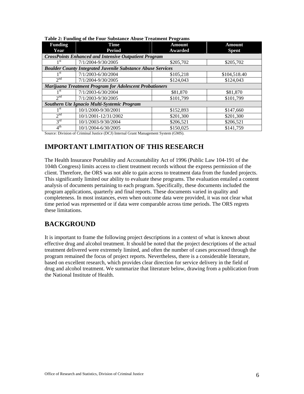| <b>Funding</b>  | <b>Time</b>                                                        | <b>Amount</b> | Amount       |  |  |  |
|-----------------|--------------------------------------------------------------------|---------------|--------------|--|--|--|
| Year            | <b>Period</b>                                                      | Awarded       | <b>Spent</b> |  |  |  |
|                 | <b>CrossPoints Enhanced and Intensive Outpatient Program</b>       |               |              |  |  |  |
| 1 st            | 7/1/2004-9/30/2005                                                 | \$205,702     | \$205,702    |  |  |  |
|                 | <b>Boulder County Integrated Juvenile Substance Abuse Services</b> |               |              |  |  |  |
| 1 st            | 7/1/2003-6/30/2004                                                 | \$105,218     | \$104,518.40 |  |  |  |
| $2^{nd}$        | 7/1/2004-9/30/2005                                                 | \$124,043     | \$124,043    |  |  |  |
|                 | <b>Marijuana Treatment Program for Adolescent Probationers</b>     |               |              |  |  |  |
| 1 st            | 7/1/2003-6/30/2004                                                 | \$81,870      | \$81,870     |  |  |  |
| $2^{nd}$        | 7/1/2003-9/30/2005                                                 | \$101,799     | \$101,799    |  |  |  |
|                 | Southern Ute Ignacio Multi-Systemic Program                        |               |              |  |  |  |
| 1 <sup>st</sup> | 10/1/2000-9/30/2001                                                | \$152,893     | \$147,660    |  |  |  |
| 2 <sup>nd</sup> | 10/1/2001-12/31/2002                                               | \$201,300     | \$201,300    |  |  |  |
| $3^{\text{rd}}$ | 10/1/2003-9/30/2004                                                | \$206,521     | \$206,521    |  |  |  |
| $4^{\text{th}}$ | 10/1/2004-6/30/2005                                                | \$150,025     | \$141,759    |  |  |  |

#### **Table 2: Funding of the Four Substance Abuse Treatment Programs**

Source: Division of Criminal Justice (DCJ) Internal Grant Management System (GMS).

# **IMPORTANT LIMITATION OF THIS RESEARCH**

The Health Insurance Portability and Accountability Act of 1996 (Public Law 104-191 of the 104th Congress) limits access to client treatment records without the express permission of the client. Therefore, the ORS was not able to gain access to treatment data from the funded projects. This significantly limited our ability to evaluate these programs. The evaluation entailed a content analysis of documents pertaining to each program. Specifically, these documents included the program applications, quarterly and final reports. These documents varied in quality and completeness. In most instances, even when outcome data were provided, it was not clear what time period was represented or if data were comparable across time periods. The ORS regrets these limitations.

# **BACKGROUND**

It is important to frame the following project descriptions in a context of what is known about effective drug and alcohol treatment. It should be noted that the project descriptions of the actual treatment delivered were extremely limited, and often the number of cases processed through the program remained the focus of project reports. Nevertheless, there is a considerable literature, based on excellent research, which provides clear direction for service delivery in the field of drug and alcohol treatment. We summarize that literature below, drawing from a publication from the National Institute of Health.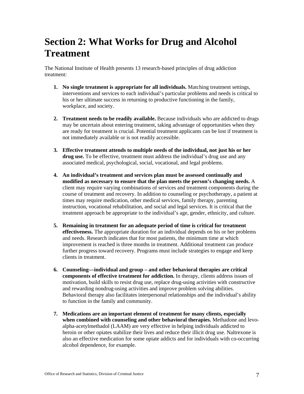# **Section 2: What Works for Drug and Alcohol Treatment**

The National Institute of Health presents 13 research-based principles of drug addiction treatment:

- **1. No single treatment is appropriate for all individuals.** Matching treatment settings, interventions and services to each individual's particular problems and needs is critical to his or her ultimate success in returning to productive functioning in the family, workplace, and society.
- **2. Treatment needs to be readily available.** Because individuals who are addicted to drugs may be uncertain about entering treatment, taking advantage of opportunities when they are ready for treatment is crucial. Potential treatment applicants can be lost if treatment is not immediately available or is not readily accessible.
- **3. Effective treatment attends to multiple needs of the individual, not just his or her drug use.** To be effective, treatment must address the individual's drug use and any associated medical, psychological, social, vocational, and legal problems.
- **4. An individual's treatment and services plan must be assessed continually and modified as necessary to ensure that the plan meets the person's changing needs.** A client may require varying combinations of services and treatment components during the course of treatment and recovery. In addition to counseling or psychotherapy, a patient at times may require medication, other medical services, family therapy, parenting instruction, vocational rehabilitation, and social and legal services. It is critical that the treatment approach be appropriate to the individual's age, gender, ethnicity, and culture.
- **5. Remaining in treatment for an adequate period of time is critical for treatment effectiveness.** The appropriate duration for an individual depends on his or her problems and needs. Research indicates that for most patients, the minimum time at which improvement is reached is three months in treatment. Additional treatment can produce further progress toward recovery. Programs must include strategies to engage and keep clients in treatment.
- **6. Counseling—individual and group and other behavioral therapies are critical components of effective treatment for addiction.** In therapy, clients address issues of motivation, build skills to resist drug use, replace drug-using activities with constructive and rewarding nondrug-using activities and improve problem solving abilities. Behavioral therapy also facilitates interpersonal relationships and the individual's ability to function in the family and community.
- **7. Medications are an important element of treatment for many clients, especially when combined with counseling and other behavioral therapies.** Methadone and levoalpha-acetylmethadol (LAAM) are very effective in helping individuals addicted to heroin or other opiates stabilize their lives and reduce their illicit drug use. Naltrexone is also an effective medication for some opiate addicts and for individuals with co-occurring alcohol dependence, for example.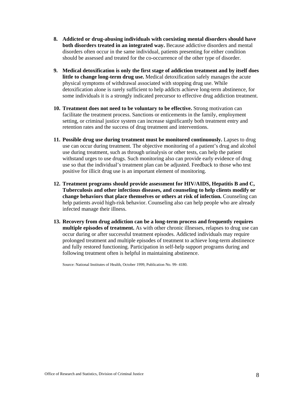- **8. Addicted or drug-abusing individuals with coexisting mental disorders should have both disorders treated in an integrated way.** Because addictive disorders and mental disorders often occur in the same individual, patients presenting for either condition should be assessed and treated for the co-occurrence of the other type of disorder.
- **9. Medical detoxification is only the first stage of addiction treatment and by itself does little to change long-term drug use.** Medical detoxification safely manages the acute physical symptoms of withdrawal associated with stopping drug use. While detoxification alone is rarely sufficient to help addicts achieve long-term abstinence, for some individuals it is a strongly indicated precursor to effective drug addiction treatment.
- **10. Treatment does not need to be voluntary to be effective.** Strong motivation can facilitate the treatment process. Sanctions or enticements in the family, employment setting, or criminal justice system can increase significantly both treatment entry and retention rates and the success of drug treatment and interventions.
- **11. Possible drug use during treatment must be monitored continuously.** Lapses to drug use can occur during treatment. The objective monitoring of a patient's drug and alcohol use during treatment, such as through urinalysis or other tests, can help the patient withstand urges to use drugs. Such monitoring also can provide early evidence of drug use so that the individual's treatment plan can be adjusted. Feedback to those who test positive for illicit drug use is an important element of monitoring.
- **12. Treatment programs should provide assessment for HIV/AIDS, Hepatitis B and C, Tuberculosis and other infectious diseases, and counseling to help clients modify or change behaviors that place themselves or others at risk of infection.** Counseling can help patients avoid high-risk behavior. Counseling also can help people who are already infected manage their illness.
- **13. Recovery from drug addiction can be a long-term process and frequently requires multiple episodes of treatment.** As with other chronic illnesses, relapses to drug use can occur during or after successful treatment episodes. Addicted individuals may require prolonged treatment and multiple episodes of treatment to achieve long-term abstinence and fully restored functioning. Participation in self-help support programs during and following treatment often is helpful in maintaining abstinence.

Source: National Institutes of Health, October 1999, Publication No. 99- 4180.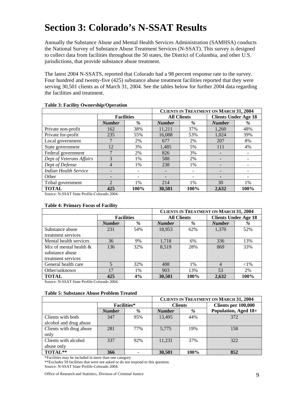# **Section 3: Colorado's N-SSAT Results**

Annually the Substance Abuse and Mental Health Services Administration (SAMHSA) conducts the National Survey of Substance Abuse Treatment Services (N-SSAT). This survey is designed to collect data from facilities throughout the 50 states, the District of Columbia, and other U.S. jurisdictions, that provide substance abuse treatment.

The latest 2004 N-SSATS, reported that Colorado had a 98 percent response rate to the survey. Four hundred and twenty-five (425) substance abuse treatment facilities reported that they were serving 30,501 clients as of March 31, 2004. See the tables below for further 2004 data regarding the facilities and treatment.

|                              |                |                   |               |                    | <b>CLIENTS IN TREATMENT ON MARCH 31, 2004</b> |                             |  |
|------------------------------|----------------|-------------------|---------------|--------------------|-----------------------------------------------|-----------------------------|--|
|                              |                | <b>Facilities</b> |               | <b>All Clients</b> |                                               | <b>Clients Under Age 18</b> |  |
|                              | <b>Number</b>  | $\%$              | <b>Number</b> | %                  | <b>Number</b>                                 | %                           |  |
| Private non-profit           | 162            | 38%               | 11.211        | 37%                | 1.260                                         | 48%                         |  |
| Private for-profit           | 235            | 55%               | 16,088        | 53%                | 1.024                                         | 39%                         |  |
| Local government             |                | 2%                | 677           | 2%                 | 207                                           | 8%                          |  |
| State government             | 12             | 3%                | 1,485         | 5%                 | 111                                           | 4%                          |  |
| Federal government           |                | 2%                | 826           | 3%                 |                                               |                             |  |
| Dept of Veterans Affairs     | 3              | 1%                | 588           | 2%                 |                                               |                             |  |
| Dept of Defense              | 4              | 1%                | 238           | 1%                 |                                               |                             |  |
| <b>Indian Health Service</b> |                |                   |               |                    |                                               |                             |  |
| Other                        |                |                   |               |                    |                                               |                             |  |
| Tribal government            | $\mathfrak{D}$ | 1%                | 214           | $1\%$              | 30                                            | 1%                          |  |
| <b>TOTAL</b><br>.            | 425            | 100%              | 30,501        | 100%               | 2,632                                         | 100%                        |  |

### **Table 3: Facility Ownership/Operation**

Source: N-SSAT State Profile-Colorado 2004.

#### **Table 4: Primary Focus of Facility**

|                           | <b>CLIENTS IN TREATMENT ON MARCH 31, 2004</b> |                   |               |                    |                |                             |  |
|---------------------------|-----------------------------------------------|-------------------|---------------|--------------------|----------------|-----------------------------|--|
|                           |                                               | <b>Facilities</b> |               | <b>All Clients</b> |                | <b>Clients Under Age 18</b> |  |
|                           | <b>Number</b>                                 | %                 | <b>Number</b> | %                  | <b>Number</b>  | %                           |  |
| Substance abuse           | 231                                           | 54%               | 18,953        | 62%                | 1,370          | 52%                         |  |
| treatment services        |                                               |                   |               |                    |                |                             |  |
| Mental health services    | 36                                            | 9%                | 1,718         | 6%                 | 336            | 13%                         |  |
| Mix of mental health $\&$ | 136                                           | 32%               | 8.519         | 28%                | 869            | 33%                         |  |
| substance abuse           |                                               |                   |               |                    |                |                             |  |
| treatment services        |                                               |                   |               |                    |                |                             |  |
| General health care       |                                               | 32%               | 408           | $1\%$              | $\overline{4}$ | ${<}1\%$                    |  |
| Other/unknown             | 17                                            | 1%                | 903           | 13%                | 53             | 2%                          |  |
| <b>TOTAL</b>              | 425                                           | 4%                | 30.501        | 100%               | 2.632          | 100%                        |  |

Source: N-SSAT State Profile-Colorado 2004.

#### **Table 5: Substance Abuse Problem Treated**

|                         |               | <b>CLIENTS IN TREATMENT ON MARCH 31, 2004</b> |                |      |                      |  |
|-------------------------|---------------|-----------------------------------------------|----------------|------|----------------------|--|
|                         |               | <b>Facilities*</b>                            | <b>Clients</b> |      | Clients per 100,000  |  |
|                         | <b>Number</b> | %                                             | <b>Number</b>  | %    | Population, Aged 18+ |  |
| Clients with both       | 347           | 95%                                           | 13.495         | 44%  | 372                  |  |
| alcohol and drug abuse  |               |                                               |                |      |                      |  |
| Clients with drug abuse | 281           | 77%                                           | 5,775          | 19%  | 158                  |  |
| only                    |               |                                               |                |      |                      |  |
| Clients with alcohol    | 337           | 92%                                           | 11.231         | 37%  | 322                  |  |
| abuse only              |               |                                               |                |      |                      |  |
| TOTAL**                 | 366           |                                               | 30,501         | 100% | 852                  |  |

\*Facilities may be included in more than one category.

\*\*Excludes 59 facilities that were not asked or do not respond to this question. Source: N-SSAT State Profile-Colorado 2004.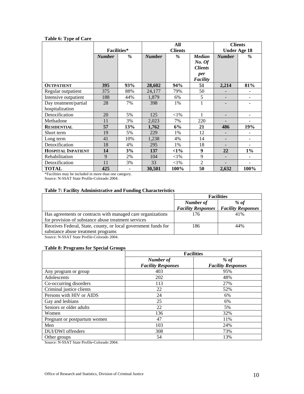## **Table 6: Type of Care**

|                           |                    |               |                | All           |                | <b>Clients</b>      |                          |
|---------------------------|--------------------|---------------|----------------|---------------|----------------|---------------------|--------------------------|
|                           | <b>Facilities*</b> |               | <b>Clients</b> |               |                | <b>Under Age 18</b> |                          |
|                           | <b>Number</b>      | $\frac{9}{6}$ | <b>Number</b>  | $\frac{9}{6}$ | <b>Median</b>  | <b>Number</b>       | $\%$                     |
|                           |                    |               |                |               | No. Of         |                     |                          |
|                           |                    |               |                |               | <b>Clients</b> |                     |                          |
|                           |                    |               |                |               | per            |                     |                          |
|                           |                    |               |                |               | Facility       |                     |                          |
| <b>OUTPATIENT</b>         | 395                | 93%           | 28,602         | 94%           | 51             | 2,214               | 81%                      |
| Regular outpatient        | 375                | 88%           | 24,177         | 79%           | 50             |                     | $\overline{\phantom{a}}$ |
| Intensive outpatient      | 188                | 44%           | 1,879          | 6%            | 5              |                     |                          |
| Day treatment/partial     | 28                 | 7%            | 398            | 1%            | 1              |                     |                          |
| hospitalization           |                    |               |                |               |                |                     |                          |
| Detoxification            | 20                 | 5%            | 125            | ${<}1\%$      | 1              |                     |                          |
| Methadone                 | 11                 | 3%            | 2,023          | 7%            | 220            |                     | ۰                        |
| <b>RESIDENTIAL</b>        | 57                 | 13%           | 1,762          | 6%            | 21             | 486                 | 19%                      |
| Short term                | 19                 | 5%            | 229            | 1%            | 12             |                     | -                        |
| Long term                 | 41                 | 10%           | 1,238          | 4%            | 14             |                     | $\overline{\phantom{a}}$ |
| Detoxification            | 18                 | 4%            | 295            | 1%            | 18             |                     |                          |
| <b>HOSPITAL INPATIENT</b> | 14                 | 3%            | 137            | $<1\%$        | 9              | 22                  | $1\%$                    |
| Rehabilitation            | 9                  | 2%            | 104            | ${<}1\%$      | 9              |                     |                          |
| Detoxification            | 11                 | 3%            | 33             | ${<}1\%$      | $\overline{2}$ |                     |                          |
| <b>TOTAL</b>              | 425                |               | 30.501         | 100%          | 50             | 2,632               | 100%                     |

\*Facilities may be included in more than one category.

Source: N-SSAT State Profile-Colorado 2004.

## **Table 7: Facility Administrative and Funding Characteristics**

|                                                                | <b>Facilities</b>         |                           |
|----------------------------------------------------------------|---------------------------|---------------------------|
|                                                                | Number of                 | $%$ of                    |
|                                                                | <b>Facility Responses</b> | <b>Facility Responses</b> |
| Has agreements or contracts with managed care organizations    | 176                       | 41%                       |
| for provision of substance abuse treatment services            |                           |                           |
| Receives Federal, State, county, or local government funds for | 186                       | 44%                       |
| substance abuse treatment programs                             |                           |                           |
|                                                                |                           |                           |

Source: N-SSAT State Profile-Colorado 2004.

#### **Table 8: Programs for Special Groups**

|                              | <b>Facilities</b>                      |                                   |  |
|------------------------------|----------------------------------------|-----------------------------------|--|
|                              | Number of<br><b>Facility Responses</b> | % of<br><b>Facility Responses</b> |  |
| Any program or group         | 403                                    | 95%                               |  |
| Adolescents                  | 202                                    | 48%                               |  |
| Co-occurring disorders       | 113                                    | 27%                               |  |
| Criminal justice clients     | 22                                     | 52%                               |  |
| Persons with HIV or AIDS     | 24                                     | 6%                                |  |
| Gay and lesbians             | 25                                     | 6%                                |  |
| Seniors or older adults      | 22                                     | 5%                                |  |
| Women                        | 136                                    | 32%                               |  |
| Pregnant or postpartum women | 47                                     | 11%                               |  |
| Men                          | 103                                    | 24%                               |  |
| DUI/DWI offenders            | 308                                    | 73%                               |  |
| Other groups                 | 54                                     | 13%                               |  |

Source: N-SSAT State Profile-Colorado 2004.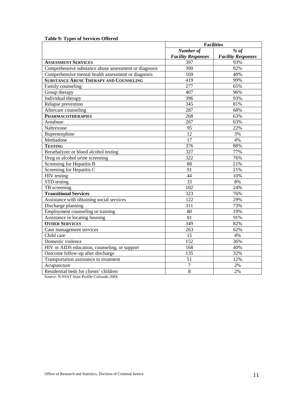# **Table 9: Types of Services Offered**

|                                                       | <b>Facilities</b>         |                           |  |
|-------------------------------------------------------|---------------------------|---------------------------|--|
|                                                       | Number of                 | % $of$                    |  |
|                                                       | <b>Facility Responses</b> | <b>Facility Responses</b> |  |
| <b>ASSESSMENT SERVICES</b>                            | 397                       | 93%                       |  |
| Comprehensive substance abuse assessment or diagnosis | 390                       | 92%                       |  |
| Comprehensive mental health assessment or diagnosis   | 169                       | 40%                       |  |
| <b>SUBSTANCE ABUSE THERAPY AND COUNSELING</b>         | 419                       | 99%                       |  |
| Family counseling                                     | $\overline{277}$          | 65%                       |  |
| Group therapy                                         | 407                       | 96%                       |  |
| Individual therapy                                    | 396                       | 93%                       |  |
| Relapse prevention                                    | 345                       | 81%                       |  |
| Aftercare counseling                                  | 287                       | 68%                       |  |
| <b>PHARMACOTHERAPIES</b>                              | 268                       | 63%                       |  |
| Antabuse                                              | 267                       | 63%                       |  |
| Naltrexone                                            | 95                        | 22%                       |  |
| Buprenorphine                                         | 12                        | 3%                        |  |
| Methadone                                             | 17                        | 4%                        |  |
| <b>TESTING</b>                                        | 376                       | 88%                       |  |
| Breathalyzer or blood alcohol testing                 | 327                       | 77%                       |  |
| Drug or alcohol urine screening                       | 322                       | 76%                       |  |
| Screening for Hepatitis B                             | 88                        | 21%                       |  |
| Screening for Hepatitis C                             | 91                        | 21%                       |  |
| HIV testing                                           | 44                        | 10%                       |  |
| STD testing                                           | 33                        | 8%                        |  |
| TB screening                                          | 102                       | 24%                       |  |
| <b>Transitional Services</b>                          | 323                       | 76%                       |  |
| Assistance with obtaining social services             | 122                       | 29%                       |  |
| Discharge planning                                    | 311                       | 73%                       |  |
| Employment counseling or training                     | 80                        | 19%                       |  |
| Assistance in locating housing                        | 81                        | 91%                       |  |
| <b>OTHER SERVICES</b>                                 | 349                       | 82%                       |  |
| Case management services                              | 263                       | 62%                       |  |
| Child care                                            | 15                        | 4%                        |  |
| Domestic violence                                     | 152                       | 36%                       |  |
| HIV or AIDS education, counseling, or support         | 168                       | 40%                       |  |
| Outcome follow-up after discharge                     | 135                       | 32%                       |  |
| Transportation assistance to treatment                | 51                        | 12%                       |  |
| Acupuncture                                           | $\overline{7}$            | 2%                        |  |
| Residential beds for clients' children                | $\overline{8}$            | 2%                        |  |

Source: N-SSAT State Profile-Colorado 2004.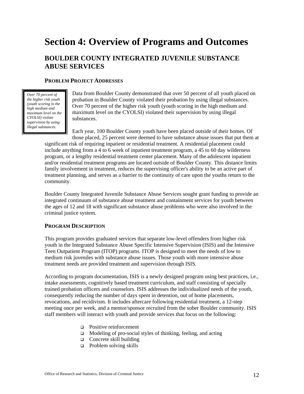# **Section 4: Overview of Programs and Outcomes**

# **BOULDER COUNTY INTEGRATED JUVENILE SUBSTANCE ABUSE SERVICES**

# **PROBLEM PROJECT ADDRESSES**

*Over 70 percent of the higher risk youth (youth scoring in the high medium and maximum level on the CYOLSI) violate supervision by using illegal substances.* 

Data from Boulder County demonstrated that over 50 percent of all youth placed on probation in Boulder County violated their probation by using illegal substances. Over 70 percent of the higher risk youth (youth scoring in the high medium and maximum level on the CYOLSI) violated their supervision by using illegal substances.

Each year, 100 Boulder County youth have been placed outside of their homes. Of those placed, 25 percent were deemed to have substance abuse issues that put them at

significant risk of requiring inpatient or residential treatment. A residential placement could include anything from a 4 to 6 week of inpatient treatment program, a 45 to 60 day wilderness program, or a lengthy residential treatment center placement. Many of the adolescent inpatient and/or residential treatment programs are located outside of Boulder County. This distance limits family involvement in treatment, reduces the supervising officer's ability to be an active part of treatment planning, and serves as a barrier to the continuity of care upon the youths return to the community.

Boulder County Integrated Juvenile Substance Abuse Services sought grant funding to provide an integrated continuum of substance abuse treatment and containment services for youth between the ages of 12 and 18 with significant substance abuse problems who were also involved in the criminal justice system.

# **PROGRAM DESCRIPTION**

This program provides graduated services that separate low-level offenders from higher risk youth in the Integrated Substance Abuse Specific Intensive Supervision (ISIS) and the Intensive Teen Outpatient Program (ITOP) programs. ITOP is designed to meet the needs of low to medium risk juveniles with substance abuse issues. Those youth with more intensive abuse treatment needs are provided treatment and supervision through ISIS.

According to program documentation, ISIS is a newly designed program using best practices, i.e., intake assessments, cognitively based treatment curriculum, and staff consisting of specially trained probation officers and counselors. ISIS addresses the individualized needs of the youth, consequently reducing the number of days spent in detention, out of home placements, revocations, and recidivism. It includes aftercare following residential treatment, a 12-step meeting once per week, and a mentor/sponsor recruited from the sober Boulder community. ISIS staff members will interact with youth and provide services that focus on the following:

- □ Positive reinforcement
- $\Box$  Modeling of pro-social styles of thinking, feeling, and acting
- **Q** Concrete skill building
- $\Box$  Problem solving skills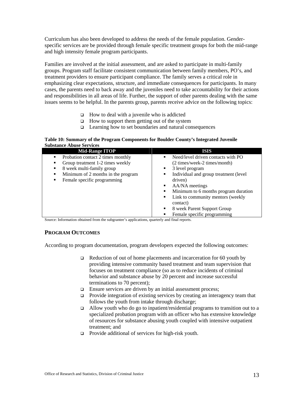Curriculum has also been developed to address the needs of the female population. Genderspecific services are be provided through female specific treatment groups for both the mid-range and high intensity female program participants.

Families are involved at the initial assessment, and are asked to participate in multi-family groups. Program staff facilitate consistent communication between family members, PO's, and treatment providers to ensure participant compliance. The family serves a critical role in emphasizing clear expectations, structure, and immediate consequences for participants. In many cases, the parents need to back away and the juveniles need to take accountability for their actions and responsibilities in all areas of life. Further, the support of other parents dealing with the same issues seems to be helpful. In the parents group, parents receive advice on the following topics:

- $\Box$  How to deal with a juvenile who is addicted
- $\Box$  How to support them getting out of the system
- Learning how to set boundaries and natural consequences

#### **Table 10: Summary of the Program Components for Boulder County's Integrated Juvenile Substance Abuse Services**

| <b>Mid-Range ITOP</b>                   | <b>ISIS</b>                                          |
|-----------------------------------------|------------------------------------------------------|
| Probation contact 2 times monthly       | Need/level driven contacts with PO<br>$\blacksquare$ |
| Group treatment 1-2 times weekly<br>▪   | (2 times/week-2 times/month)                         |
| 8 week multi-family group               | 3 level program<br>٠                                 |
| Minimum of 2 months in the program<br>▪ | Individual and group treatment (level)<br>٠          |
| Female specific programming<br>٠        | driven)                                              |
|                                         | AA/NA meetings<br>п                                  |
|                                         | Minimum to 6 months program duration<br>Е            |
|                                         | Link to community mentors (weekly<br>п               |
|                                         | contact)                                             |
|                                         | 8 week Parent Support Group<br>٠                     |
|                                         | Female specific programming<br>в                     |

Source: Information obtained from the subgrantee's applications, quarterly and final reports.

# **PROGRAM OUTCOMES**

According to program documentation, program developers expected the following outcomes:

- $\Box$  Reduction of out of home placements and incarceration for 60 youth by providing intensive community based treatment and team supervision that focuses on treatment compliance (so as to reduce incidents of criminal behavior and substance abuse by 20 percent and increase successful terminations to 70 percent);
- **Ensure services are driven by an initial assessment process;**
- $\Box$  Provide integration of existing services by creating an interagency team that follows the youth from intake through discharge;
- $\Box$  Allow youth who do go to inpatient/residential programs to transition out to a specialized probation program with an officer who has extensive knowledge of resources for substance abusing youth coupled with intensive outpatient treatment; and
- $\Box$  Provide additional of services for high-risk youth.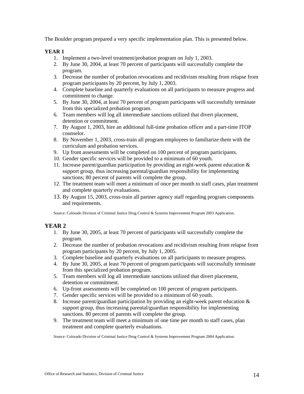The Boulder program prepared a very specific implementation plan. This is presented below.

# **YEAR 1**

- 1. Implement a two-level treatment/probation program on July 1, 2003.
- 2. By June 30, 2004, at least 70 percent of participants will successfully complete the program.
- 3. Decrease the number of probation revocations and recidivism resulting from relapse from program participants by 20 percent, by July 1, 2003.
- 4. Complete baseline and quarterly evaluations on all participants to measure progress and commitment to change.
- 5. By June 30, 2004, at least 70 percent of program participants will successfully terminate from this specialized probation program.
- 6. Team members will log all intermediate sanctions utilized that divert placement, detention or commitment.
- 7. By August 1, 2003, hire an additional full-time probation officer and a part-time ITOP counselor.
- 8. By November 1, 2003, cross-train all program employees to familiarize them with the curriculum and probation services.
- 9. Up front assessments will be completed on 100 percent of program participants.
- 10. Gender specific services will be provided to a minimum of 60 youth.
- 11. Increase parent/guardian participation by providing an eight-week parent education & support group, thus increasing parental/guardian responsibility for implementing sanctions; 80 percent of parents will complete the group.
- 12. The treatment team will meet a minimum of once per month to staff cases, plan treatment and complete quarterly evaluations.
- 13. By August 15, 2003, cross-train all partner agency staff regarding program components and requirements.

Source: Colorado Division of Criminal Justice Drug Control & Systems Improvement Program 2003 Application.

# **YEAR 2**

- 1. By June 30, 2005, at least 70 percent of participants will successfully complete the program.
- 2. Decrease the number of probation revocations and recidivism resulting from relapse from program participants by 20 percent, by July 1, 2005.
- 3. Complete baseline and quarterly evaluations on all participants to measure progress.
- 4. By June 30, 2005, at least 70 percent of program participants will successfully terminate from this specialized probation program.
- 5. Team members will log all intermediate sanctions utilized that divert placement, detention or commitment.
- 6. Up-front assessments will be completed on 100 percent of program participants.
- 7. Gender specific services will be provided to a minimum of 60 youth.
- 8. Increase parent/guardian participation by providing an eight-week parent education & support group, thus increasing parental/guardian responsibility for implementing sanctions. 80 percent of parents will complete the group.
- 9. The treatment team will meet a minimum of one time per month to staff cases, plan treatment and complete quarterly evaluations.

Source: Colorado Division of Criminal Justice Drug Control & Systems Improvement Program 2004 Application.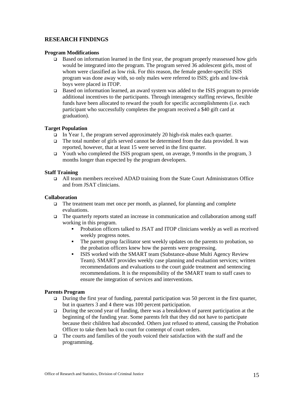# **RESEARCH FINDINGS**

## **Program Modifications**

- $\Box$  Based on information learned in the first year, the program properly reassessed how girls would be integrated into the program. The program served 36 adolescent girls, most of whom were classified as low risk. For this reason, the female gender-specific ISIS program was done away with, so only males were referred to ISIS; girls and low-risk boys were placed in ITOP.
- Based on information learned, an award system was added to the ISIS program to provide additional incentives to the participants. Through interagency staffing reviews, flexible funds have been allocated to reward the youth for specific accomplishments (i.e. each participant who successfully completes the program received a \$40 gift card at graduation).

# **Target Population**

- $\Box$  In Year 1, the program served approximately 20 high-risk males each quarter.
- The total number of girls served cannot be determined from the data provided. It was reported, however, that at least 15 were served in the first quarter.
- $\Box$  Youth who completed the ISIS program spent, on average, 9 months in the program, 3 months longer than expected by the program developers.

# **Staff Training**

 All team members received ADAD training from the State Court Administrators Office and from JSAT clinicians.

### **Collaboration**

- $\Box$  The treatment team met once per month, as planned, for planning and complete evaluations.
- $\Box$  The quarterly reports stated an increase in communication and collaboration among staff working in this program.
	- Probation officers talked to JSAT and ITOP clinicians weekly as well as received weekly progress notes.
	- The parent group facilitator sent weekly updates on the parents to probation, so the probation officers knew how the parents were progressing.
	- ISIS worked with the SMART team (Substance-abuse Multi Agency Review Team). SMART provides weekly case planning and evaluation services; written recommendations and evaluations to the court guide treatment and sentencing recommendations. It is the responsibility of the SMART team to staff cases to ensure the integration of services and interventions.

# **Parents Program**

- During the first year of funding, parental participation was 50 percent in the first quarter, but in quarters 3 and 4 there was 100 percent participation.
- $\Box$  During the second year of funding, there was a breakdown of parent participation at the beginning of the funding year. Some parents felt that they did not have to participate because their children had absconded. Others just refused to attend, causing the Probation Officer to take them back to court for contempt of court orders.
- $\Box$  The courts and families of the youth voiced their satisfaction with the staff and the programming.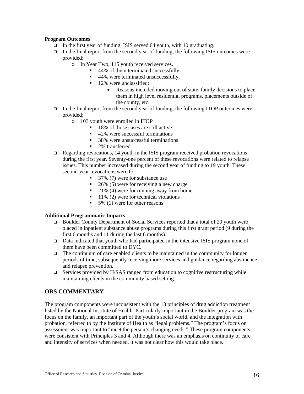# **Program Outcomes**

- $\Box$  In the first year of funding, ISIS served 64 youth, with 10 graduating.
- In the final report from the second year of funding, the following ISIS outcomes were provided:
	- o In Year Two, 115 youth received services.
		- 44% of them terminated successfully.
		- 44% were terminated unsuccessfully.
		- 12% were unclassified:
			- Reasons included moving out of state, family decisions to place them in high level residential programs, placements outside of the county, etc.
- In the final report from the second year of funding, the following ITOP outcomes were provided:
	- o 103 youth were enrolled in ITOP
		- $\blacksquare$  18% of those cases are still active
		- 42% were successful terminations
		- 38% were unsuccessful terminations
		- 2% transferred
- Regarding revocations, 14 youth in the ISIS program received probation revocations during the first year. Seventy-one percent of these revocations were related to relapse issues. This number increased during the second year of funding to 19 youth. These second-year revocations were for:
	- 37% (7) were for substance use
	- $\blacksquare$  26% (5) were for receiving a new charge
	- 21% (4) were for running away from home
	- $11\%$  (2) were for technical violations
	- $\blacksquare$  5% (1) were for other reasons

#### **Additional Programmatic Impacts**

- Boulder County Department of Social Services reported that a total of 20 youth were placed in inpatient substance abuse programs during this first grant period (9 during the first 6 months and 11 during the last 6 months).
- Data indicated that youth who had participated in the intensive ISIS program none of them have been committed to DYC.
- $\Box$  The continuum of care enabled clients to be maintained in the community for longer periods of time, subsequently receiving more services and guidance regarding abstinence and relapse prevention.
- $\Box$  Services provided by IJ/SAS ranged from education to cognitive restructuring while maintaining clients in the community based setting.

# **ORS COMMENTARY**

The program components were inconsistent with the 13 principles of drug addiction treatment listed by the National Institute of Health. Particularly important in the Boulder program was the focus on the family, an important part of the youth's social world, and the integration with probation, referred to by the Institute of Health as "legal problems." The program's focus on assessment was important to "meet the person's changing needs." These program components were consistent with Principles 3 and 4. Although there was an emphasis on continuity of care and intensity of services when needed, it was not clear how this would take place.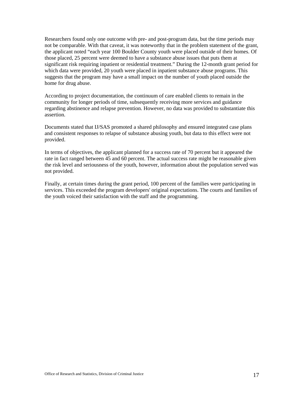Researchers found only one outcome with pre- and post-program data, but the time periods may not be comparable. With that caveat, it was noteworthy that in the problem statement of the grant, the applicant noted "each year 100 Boulder County youth were placed outside of their homes. Of those placed, 25 percent were deemed to have a substance abuse issues that puts them at significant risk requiring inpatient or residential treatment." During the 12-month grant period for which data were provided, 20 youth were placed in inpatient substance abuse programs. This suggests that the program may have a small impact on the number of youth placed outside the home for drug abuse.

According to project documentation, the continuum of care enabled clients to remain in the community for longer periods of time, subsequently receiving more services and guidance regarding abstinence and relapse prevention. However, no data was provided to substantiate this assertion.

Documents stated that IJ/SAS promoted a shared philosophy and ensured integrated case plans and consistent responses to relapse of substance abusing youth, but data to this effect were not provided.

In terms of objectives, the applicant planned for a success rate of 70 percent but it appeared the rate in fact ranged between 45 and 60 percent. The actual success rate might be reasonable given the risk level and seriousness of the youth, however, information about the population served was not provided.

Finally, at certain times during the grant period, 100 percent of the families were participating in services. This exceeded the program developers' original expectations. The courts and families of the youth voiced their satisfaction with the staff and the programming.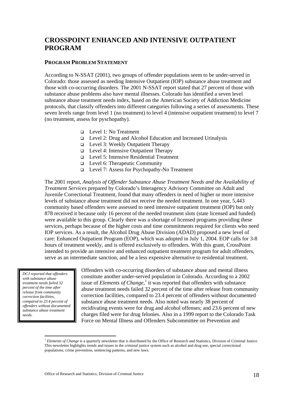# **CROSSPOINT ENHANCED AND INTENSIVE OUTPATIENT PROGRAM**

# **PROGRAM PROBLEM STATEMENT**

According to N-SSAT (2001), two groups of offender populations seem to be under-served in Colorado: those assessed as needing Intensive Outpatient (IOP) substance abuse treatment and those with co-occurring disorders. The 2001 N-SSAT report stated that 27 percent of those with substance abuse problems also have mental illnesses. Colorado has identified a seven level substance abuse treatment needs index, based on the American Society of Addiction Medicine protocols, that classify offenders into different categories following a series of assessments. These seven levels range from level 1 (no treatment) to level 4 (intensive outpatient treatment) to level 7 (no treatment, assess for pyschopathy).

- Level 1: No Treatment
- Level 2: Drug and Alcohol Education and Increased Urinalysis
- $\Box$  Level 3: Weekly Outpatient Therapy
- Level 4: Intensive Outpatient Therapy
- Level 5: Intensive Residential Treatment
- Level 6: Therapeutic Community
- Level 7: Assess for Psychopathy-No Treatment

The 2001 report, *Analysis of Offender Substance Abuse Treatment Needs and the Availability of Treatment Services* prepared by Colorado's Interagency Advisory Committee on Adult and Juvenile Correctional Treatment, found that many offenders in need of higher or more intensive levels of substance abuse treatment did not receive the needed treatment. In one year, 5,443 community based offenders were assessed to need intensive outpatient treatment (IOP) but only 878 received it because only 16 percent of the needed treatment slots (state licensed and funded) were available to this group. Clearly there was a shortage of licensed programs providing these services, perhaps because of the higher costs and time commitments required for clients who need IOP services. As a result, the Alcohol Drug Abuse Division (ADAD) proposed a new level of care: Enhanced Outpatient Program (EOP), which was adopted in July 1, 2004. EOP calls for 3-8 hours of treatment weekly, and is offered exclusively to offenders. With this grant, CrossPoint intended to provide an intensive and enhanced outpatient treatment program for adult offenders, serve as an intermediate sanction, and be a less expensive alternative to residential treatment.

*DCJ reported that offenders with substance abuse treatment needs failed 32 percent of the time after release from community correction facilities, compared to 23.4 percent of offenders without documented substance abuse treatment needs.* 

 $\overline{a}$ 

Offenders with co-occurring disorders of substance abuse and mental illness constitute another under-served population in Colorado. According to a 2002 issue of *Elements of Change*,<sup> $1$ </sup> it was reported that offenders with substance abuse treatment needs failed 32 percent of the time after release from community correction facilities, compared to 23.4 percent of offenders without documented substance abuse treatment needs. Also noted was nearly 38 percent of recidivating events were for drug and alcohol offenses; and 23.6 percent of new charges filed were for drug felonies. Also in a 1999 report to the Colorado Task Force on Mental Illness and Offenders Subcommittee on Prevention and

<sup>&</sup>lt;sup>1</sup> *Elements of Change* is a quarterly newsletter that is distributed by the Office of Research and Statistics, Division of Criminal Justice. This newsletter highlights trends and issues in the criminal justice system such as alcohol and drug use, special correctional populations, crime prevention, sentencing patterns, and new laws.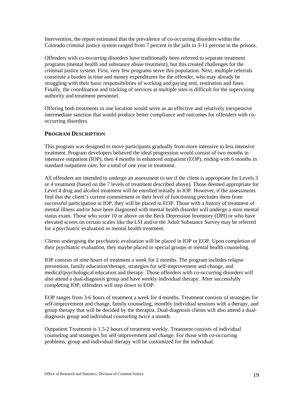Intervention, the report estimated that the prevalence of co-occurring disorders within the Colorado criminal justice system ranged from 7 percent in the jails to 3-11 percent in the prisons.

Offenders with co-occurring disorders have traditionally been referred to separate treatment programs (mental health and substance abuse treatment), but this created challenges for the criminal justice system. First, very few programs serve this population. Next, multiple referrals constitute a burden in time and money expenditures for the offender, who may already be struggling with their basic responsibilities of working and paying rent, restitution and fines. Finally, the coordination and tracking of services at multiple sites is difficult for the supervising authority and treatment personnel.

Offering both treatments in one location would serve as an effective and relatively inexpensive intermediate sanction that would produce better compliance and outcomes for offenders with cooccurring disorders.

# **PROGRAM DESCRIPTION**

This program was designed to move participants gradually from more intensive to less intensive treatment. Program developers believed the ideal progression would consist of two months in intensive outpatient (IOP), then 4 months in enhanced outpatient (EOP), ending with 6 months in standard outpatient care, for a total of one year in treatment.

All offenders are intended to undergo an assessment to see if the client is appropriate for Levels 3 or 4 treatment (based on the 7 levels of treatment described above). Those deemed appropriate for Level 4 drug and alcohol treatment will be enrolled initially in IOP. However, if the assessments find that the client's current commitment or their level of functioning precludes them from successful participation in IOP, they will be placed in EOP. Those with a history of treatment of mental illness and/or have been diagnosed with mental health disorder will undergo a mini mental status exam. Those who score 10 or above on the Beck Depression Inventory (DPI) or who have elevated scores on certain scales like the LSI and/or the Adult Substance Survey may be referred for a psychiatric evaluation or mental health treatment.

Clients undergoing the psychiatric evaluation will be placed in IOP or EOP. Upon completion of their psychiatric evaluation, they maybe placed in special groups or mental health counseling.

IOP consists of nine hours of treatment a week for 2 months. The program includes relapse prevention, family education/therapy, strategies for self-improvement and change, and medical/psychological education and therapy. Those offenders with co-occurring disorders will also attend a dual-diagnosis group and have weekly individual therapy. After successfully completing IOP, offenders will step down to EOP.

EOP ranges from 3-6 hours of treatment a week for 4 months. Treatment consists of strategies for self-improvement and change, family counseling, monthly individual sessions with a therapy, and group therapy that will be decided by the therapist. Dual-diagnosis clients will also attend a dualdiagnosis group and individual counseling twice a month.

Outpatient Treatment is 1.5-2 hours of treatment weekly. Treatment consists of individual counseling and strategies for self-improvement and change. For those with co-occurring problems, group and individual therapy will be customized for the individual.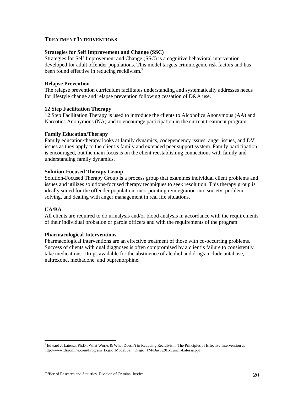# **TREATMENT INTERVENTIONS**

#### **Strategies for Self Improvement and Change (SSC)**

Strategies for Self Improvement and Change (SSC) is a cognitive behavioral intervention developed for adult offender populations. This model targets criminogenic risk factors and has been found effective in reducing recidivism.<sup>2</sup>

#### **Relapse Prevention**

The relapse prevention curriculum facilitates understanding and systematically addresses needs for lifestyle change and relapse prevention following cessation of D&A use.

#### **12 Step Facilitation Therapy**

12 Step Facilitation Therapy is used to introduce the clients to Alcoholics Anonymous (AA) and Narcotics Anonymous (NA) and to encourage participation in the current treatment program.

#### **Family Education/Therapy**

Family education/therapy looks at family dynamics, codependency issues, anger issues, and DV issues as they apply to the client's family and extended peer support system. Family participation is encouraged, but the main focus is on the client reestablishing connections with family and understanding family dynamics.

#### **Solution-Focused Therapy Group**

Solution-Focused Therapy Group is a process group that examines individual client problems and issues and utilizes solutions-focused therapy techniques to seek resolution. This therapy group is ideally suited for the offender population, incorporating reintegration into society, problem solving, and dealing with anger management in real life situations.

#### **UA/BA**

 $\overline{a}$ 

All clients are required to do urinalysis and/or blood analysis in accordance with the requirements of their individual probation or parole officers and with the requirements of the program.

#### **Pharmacological Interventions**

Pharmacological interventions are an effective treatment of those with co-occurring problems. Success of clients with dual diagnoses is often compromised by a client's failure to consistently take medications. Drugs available for the abstinence of alcohol and drugs include antabuse, naltrexone, methadone, and buprenorphine.

 $^2$  Edward J. Latessa, Ph.D., What Works & What Doesn't in Reducing Recidivism: The Principles of Effective Intervention at http://www.dsgonline.com/Program\_Logic\_Model/San\_Diego\_TM/Day%201-Lunch-Latessa.ppt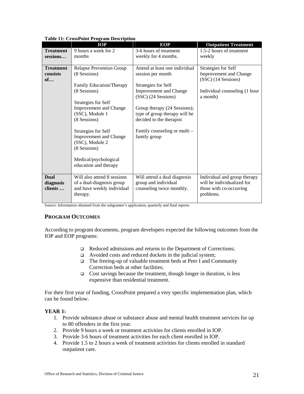|                                     | Table 11. Crossi unit i rogram Description                                                         |                                                                                           |                                                                                                    |
|-------------------------------------|----------------------------------------------------------------------------------------------------|-------------------------------------------------------------------------------------------|----------------------------------------------------------------------------------------------------|
|                                     | <b>IOP</b>                                                                                         | <b>EOP</b>                                                                                | <b>Outpatient Treatment</b>                                                                        |
| <b>Treatment</b><br>sessions        | 9 hours a week for 2<br>months                                                                     | 3-6 hours of treatment<br>weekly for 4 months.                                            | 1.5-2 hours of treatment<br>weekly                                                                 |
|                                     |                                                                                                    |                                                                                           |                                                                                                    |
| <b>Treatment</b><br>consists<br>of  | <b>Relapse Prevention Group</b><br>(8 Sessions)<br>Family Education/Therapy                        | Attend at least one individual<br>session per month<br>Strategies for Self                | Strategies for Self<br>Improvement and Change<br>(SSC) (14 Sessions)                               |
|                                     | (8 Sessions)<br>Strategies for Self                                                                | <b>Improvement and Change</b><br>(SSC) (24 Sessions)                                      | Individual counseling (1 hour<br>a month)                                                          |
|                                     | <b>Improvement and Change</b><br>(SSC), Module 1<br>(8 Sessions)                                   | Group therapy (24 Sessions);<br>type of group therapy will be<br>decided to the therapist |                                                                                                    |
|                                     | Strategies for Self<br><b>Improvement and Change</b><br>(SSC), Module 2<br>(8 Sessions)            | Family counseling or multi –<br>family group                                              |                                                                                                    |
|                                     | Medical/psychological<br>education and therapy                                                     |                                                                                           |                                                                                                    |
| <b>Dual</b><br>diagnosis<br>clients | Will also attend 8 sessions<br>of a dual-diagnosis group<br>and have weekly individual<br>therapy. | Will attend a dual diagnosis<br>group and individual<br>counseling twice monthly.         | Individual and group therapy<br>will be individualized for<br>those with co-occurring<br>problems. |

#### **Table 11: CrossPoint Program Description**

Source: Information obtained from the subgrantee's application, quarterly and final reports.

# **PROGRAM OUTCOMES**

According to program documents, program developers expected the following outcomes from the IOP and EOP programs:

- □ Reduced admissions and returns to the Department of Corrections;
- Avoided costs and reduced dockets in the judicial system;
- The freeing-up of valuable treatment beds at Peer I and Community Correction beds at other facilities;
- $\Box$  Cost savings because the treatment, though longer in duration, is less expensive than residential treatment.

For their first year of funding, CrossPoint prepared a very specific implementation plan, which can be found below.

# **YEAR 1:**

- 1. Provide substance abuse or substance abuse and mental health treatment services for up to 80 offenders in the first year.
- 2. Provide 9 hours a week or treatment activities for clients enrolled in IOP.
- 3. Provide 3-6 hours of treatment activities for each client enrolled in IOP.
- 4. Provide 1.5 to 2 hours a week of treatment activities for clients enrolled in standard outpatient care.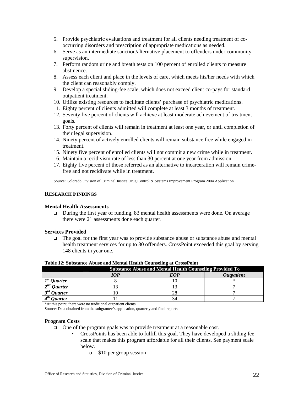- 5. Provide psychiatric evaluations and treatment for all clients needing treatment of cooccurring disorders and prescription of appropriate medications as needed.
- 6. Serve as an intermediate sanction/alternative placement to offenders under community supervision.
- 7. Perform random urine and breath tests on 100 percent of enrolled clients to measure abstinence.
- 8. Assess each client and place in the levels of care, which meets his/her needs with which the client can reasonably comply.
- 9. Develop a special sliding-fee scale, which does not exceed client co-pays for standard outpatient treatment.
- 10. Utilize existing resources to facilitate clients' purchase of psychiatric medications.
- 11. Eighty percent of clients admitted will complete at least 3 months of treatment.
- 12. Seventy five percent of clients will achieve at least moderate achievement of treatment goals.
- 13. Forty percent of clients will remain in treatment at least one year, or until completion of their legal supervision.
- 14. Ninety percent of actively enrolled clients will remain substance free while engaged in treatment.
- 15. Ninety five percent of enrolled clients will not commit a new crime while in treatment.
- 16. Maintain a recidivism rate of less than 30 percent at one year from admission.
- 17. Eighty five percent of those referred as an alternative to incarceration will remain crimefree and not recidivate while in treatment.

Source: Colorado Division of Criminal Justice Drug Control & Systems Improvement Program 2004 Application.

## **RESEARCH FINDINGS**

#### **Mental Health Assessments**

□ During the first year of funding, 83 mental health assessments were done. On average there were 21 assessments done each quarter.

#### **Services Provided**

 The goal for the first year was to provide substance abuse or substance abuse and mental health treatment services for up to 80 offenders. CrossPoint exceeded this goal by serving 148 clients in year one.

#### **Table 12: Substance Abuse and Mental Health Counseling at CrossPoint**

|                                                | <b>Substance Abuse and Mental Health Counseling Provided To</b> |     |                   |  |  |  |
|------------------------------------------------|-----------------------------------------------------------------|-----|-------------------|--|--|--|
|                                                | 10P                                                             | EOP | <b>Outpatient</b> |  |  |  |
| $Ist$ Ouarter                                  |                                                                 |     |                   |  |  |  |
| $2^{nd}$ Ouarter                               |                                                                 |     |                   |  |  |  |
| $\boldsymbol{\lceil}$<br><i><b>Ouarter</b></i> |                                                                 | 28  |                   |  |  |  |
| 0uarter                                        |                                                                 |     |                   |  |  |  |

\*At this point, there were no traditional outpatient clients.

Source: Data obtained from the subgrantee's application, quarterly and final reports.

#### **Program Costs**

- $\Box$  One of the program goals was to provide treatment at a reasonable cost.
	- CrossPoints has been able to fulfill this goal. They have developed a sliding fee scale that makes this program affordable for all their clients. See payment scale below.
		- o \$10 per group session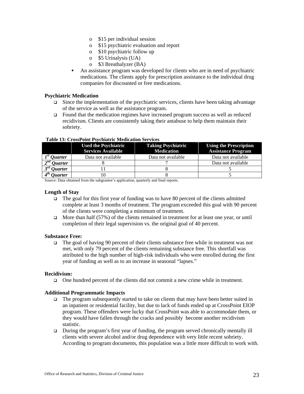- o \$15 per individual session
- o \$15 psychiatric evaluation and report
- o \$10 psychiatric follow up
- o \$5 Urinalysis (UA)
- o \$3 Breathalyzer (BA)
- An assistance program was developed for clients who are in need of psychiatric medications. The clients apply for prescription assistance to the individual drug companies for discounted or free medications.

## **Psychiatric Medication**

- $\Box$  Since the implementation of the psychiatric services, clients have been taking advantage of the service as well as the assistance program.
- Found that the medication regimes have increased program success as well as reduced recidivism. Clients are consistently taking their antabuse to help them maintain their sobriety.

|                       | <b>Used the Psychiatric</b><br><b>Services Available</b> | <b>Taking Psychiatric</b><br><b>Medication</b> | <b>Using the Prescription</b><br><b>Assistance Program</b> |
|-----------------------|----------------------------------------------------------|------------------------------------------------|------------------------------------------------------------|
| $1st$ Quarter         | Data not available                                       | Data not available                             | Data not available                                         |
| $2^{nd}$ Quarter      |                                                          |                                                | Data not available                                         |
| $3^{rd}$ Ouarter      |                                                          |                                                |                                                            |
| <i><b>Ouarter</b></i> |                                                          |                                                |                                                            |

#### **Table 13: CrossPoint Psychiatric Medication Services**

Source: Data obtained from the subgrantee's application, quarterly and final reports.

#### **Length of Stay**

- The goal for this first year of funding was to have 80 percent of the clients admitted complete at least 3 months of treatment. The program exceeded this goal with 90 percent of the clients were completing a minimum of treatment.
- $\Box$  More than half (57%) of the clients remained in treatment for at least one year, or until completion of their legal supervision vs. the original goal of 40 percent.

#### **Substance Free:**

 $\Box$  The goal of having 90 percent of their clients substance free while in treatment was not met, with only 79 percent of the clients remaining substance free. This shortfall was attributed to the high number of high-risk individuals who were enrolled during the first year of funding as well as to an increase in seasonal "lapses."

## **Recidivism:**

One hundred percent of the clients did not commit a new crime while in treatment.

#### **Additional Programmatic Impacts**

- $\Box$  The program subsequently started to take on clients that may have been better suited in an inpatient or residential facility, but due to lack of funds ended up at CrossPoint EIOP program. These offenders were lucky that CrossPoint was able to accommodate them, or they would have fallen through the cracks and possibly become another recidivism statistic.
- During the program's first year of funding, the program served chronically mentally ill clients with severe alcohol and/or drug dependence with very little recent sobriety. According to program documents, this population was a little more difficult to work with.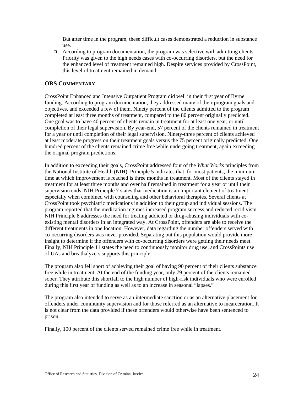But after time in the program, these difficult cases demonstrated a reduction in substance use.

 According to program documentation, the program was selective with admitting clients. Priority was given to the high needs cases with co-occurring disorders, but the need for the enhanced level of treatment remained high. Despite services provided by CrossPoint, this level of treatment remained in demand.

# **ORS COMMENTARY**

CrossPoint Enhanced and Intensive Outpatient Program did well in their first year of Byrne funding. According to program documentation, they addressed many of their program goals and objectives, and exceeded a few of them. Ninety percent of the clients admitted to the program completed at least three months of treatment, compared to the 80 percent originally predicted. One goal was to have 40 percent of clients remain in treatment for at least one year, or until completion of their legal supervision. By year-end, 57 percent of the clients remained in treatment for a year or until completion of their legal supervision. Ninety-three percent of clients achieved at least moderate progress on their treatment goals versus the 75 percent originally predicted. One hundred percent of the clients remained crime free while undergoing treatment, again exceeding the original program predictions.

In addition to exceeding their goals, CrossPoint addressed four of the *What Works* principles from the National Institute of Health (NIH). Principle 5 indicates that, for most patients, the minimum time at which improvement is reached is three months in treatment. Most of the clients stayed in treatment for at least three months and over half remained in treatment for a year or until their supervision ends. NIH Principle 7 states that medication is an important element of treatment, especially when combined with counseling and other behavioral therapies. Several clients at CrossPoint took psychiatric medications in addition to their group and individual sessions. The program reported that the medication regimes increased program success and reduced recidivism. NIH Principle 8 addresses the need for treating addicted or drug-abusing individuals with coexisting mental disorders in an integrated way. At CrossPoint, offenders are able to receive the different treatments in one location. However, data regarding the number offenders served with co-occurring disorders was never provided. Separating out this population would provide more insight to determine if the offenders with co-occurring disorders were getting their needs meet. Finally, NIH Principle 11 states the need to continuously monitor drug use, and CrossPoints use of UAs and breathalyzers supports this principle.

The program also fell short of achieving their goal of having 90 percent of their clients substance free while in treatment. At the end of the funding year, only 79 percent of the clients remained sober. They attribute this shortfall to the high number of high-risk individuals who were enrolled during this first year of funding as well as to an increase in seasonal "lapses."

The program also intended to serve as an intermediate sanction or as an alternative placement for offenders under community supervision and for those referred as an alternative to incarceration. It is not clear from the data provided if these offenders would otherwise have been sentenced to prison.

Finally, 100 percent of the clients served remained crime free while in treatment.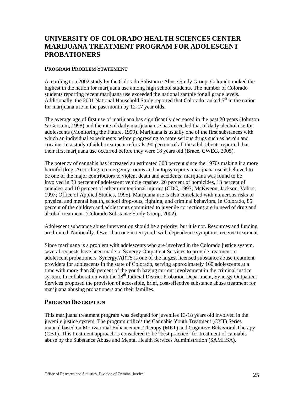# **UNIVERSITY OF COLORADO HEALTH SCIENCES CENTER MARIJUANA TREATMENT PROGRAM FOR ADOLESCENT PROBATIONERS**

## **PROGRAM PROBLEM STATEMENT**

According to a 2002 study by the Colorado Substance Abuse Study Group, Colorado ranked the highest in the nation for marijuana use among high school students. The number of Colorado students reporting recent marijuana use exceeded the national sample for all grade levels. Additionally, the 2001 National Household Study reported that Colorado ranked  $5<sup>th</sup>$  in the nation for marijuana use in the past month by 12-17 year olds.

The average age of first use of marijuana has significantly decreased in the past 20 years (Johnson & Gerstein, 1998) and the rate of daily marijuana use has exceeded that of daily alcohol use for adolescents (Monitoring the Future, 1999). Marijuana is usually one of the first substances with which an individual experiments before progressing to more serious drugs such as heroin and cocaine. In a study of adult treatment referrals, 90 percent of all the adult clients reported that their first marijuana use occurred before they were 18 years old (Brace, CWEG, 2005).

The potency of cannabis has increased an estimated 300 percent since the 1970s making it a more harmful drug. According to emergency rooms and autopsy reports, marijuana use is believed to be one of the major contributors to violent death and accidents: marijuana was found to be involved in 30 percent of adolescent vehicle crashes, 20 percent of homicides, 13 percent of suicides, and 10 percent of other unintentional injuries (CDC, 1997; McKweon, Jackson, Valios, 1997; Office of Applied Studies, 1995). Marijuana use is also correlated with numerous risks to physical and mental health, school drop-outs, fighting, and criminal behaviors. In Colorado, 85 percent of the children and adolescents committed to juvenile corrections are in need of drug and alcohol treatment (Colorado Substance Study Group, 2002).

Adolescent substance abuse intervention should be a priority, but it is not. Resources and funding are limited. Nationally, fewer than one in ten youth with dependence symptoms receive treatment.

Since marijuana is a problem with adolescents who are involved in the Colorado justice system, several requests have been made to Synergy Outpatient Services to provide treatment to adolescent probationers. Synergy/ARTS is one of the largest licensed substance abuse treatment providers for adolescents in the state of Colorado, serving approximately 160 adolescents at a time with more than 80 percent of the youth having current involvement in the criminal justice system. In collaboration with the 18<sup>th</sup> Judicial District Probation Department, Synergy Outpatient Services proposed the provision of accessible, brief, cost-effective substance abuse treatment for marijuana abusing probationers and their families.

# **PROGRAM DESCRIPTION**

This marijuana treatment program was designed for juveniles 13-18 years old involved in the juvenile justice system. The program utilizes the Cannabis Youth Treatment (CYT) Series manual based on Motivational Enhancement Therapy (MET) and Cognitive Behavioral Therapy (CBT). This treatment approach is considered to be "best practice" for treatment of cannabis abuse by the Substance Abuse and Mental Health Services Administration (SAMHSA).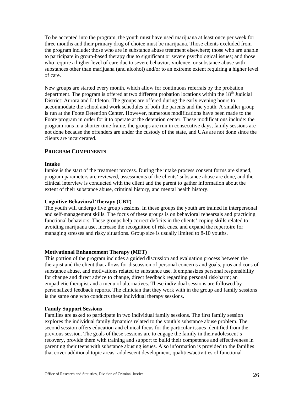To be accepted into the program, the youth must have used marijuana at least once per week for three months and their primary drug of choice must be marijuana. Those clients excluded from the program include: those who are in substance abuse treatment elsewhere; those who are unable to participate in group-based therapy due to significant or severe psychological issues; and those who require a higher level of care due to severe behavior, violence, or substance abuse with substances other than marijuana (and alcohol) and/or to an extreme extent requiring a higher level of care.

New groups are started every month, which allow for continuous referrals by the probation department. The program is offered at two different probation locations within the  $18<sup>th</sup>$  Judicial District: Aurora and Littleton. The groups are offered during the early evening hours to accommodate the school and work schedules of both the parents and the youth. A smaller group is run at the Foote Detention Center. However, numerous modifications have been made to the Foote program in order for it to operate at the detention center. These modifications include: the program runs in a shorter time frame, the groups are run in consecutive days, family sessions are not done because the offenders are under the custody of the state, and UAs are not done since the clients are incarcerated.

# **PROGRAM COMPONENTS**

# **Intake**

Intake is the start of the treatment process. During the intake process consent forms are signed, program parameters are reviewed, assessments of the clients' substance abuse are done, and the clinical interview is conducted with the client and the parent to gather information about the extent of their substance abuse, criminal history, and mental health history.

#### **Cognitive Behavioral Therapy (CBT)**

The youth will undergo five group sessions. In these groups the youth are trained in interpersonal and self-management skills. The focus of these groups is on behavioral rehearsals and practicing functional behaviors. These groups help correct deficits in the clients' coping skills related to avoiding marijuana use, increase the recognition of risk cues, and expand the repertoire for managing stresses and risky situations. Group size is usually limited to 8-10 youths.

#### **Motivational Enhancement Therapy (MET)**

This portion of the program includes a guided discussion and evaluation process between the therapist and the client that allows for discussion of personal concerns and goals, pros and cons of substance abuse, and motivations related to substance use. It emphasizes personal responsibility for change and direct advice to change, direct feedback regarding personal risk/harm; an empathetic therapist and a menu of alternatives. These individual sessions are followed by personalized feedback reports. The clinician that they work with in the group and family sessions is the same one who conducts these individual therapy sessions.

#### **Family Support Sessions**

Families are asked to participate in two individual family sessions. The first family session explores the individual family dynamics related to the youth's substance abuse problem. The second session offers education and clinical focus for the particular issues identified from the previous session. The goals of these sessions are to engage the family in their adolescent's recovery, provide them with training and support to build their competence and effectiveness in parenting their teens with substance abusing issues. Also information is provided to the families that cover additional topic areas: adolescent development, qualities/activities of functional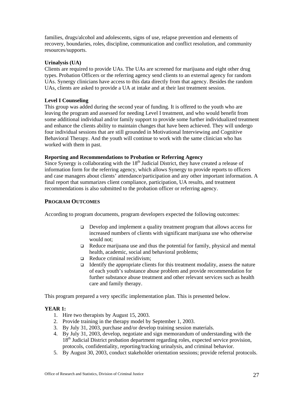families, drugs/alcohol and adolescents, signs of use, relapse prevention and elements of recovery, boundaries, roles, discipline, communication and conflict resolution, and community resources/supports.

# **Urinalysis (UA)**

Clients are required to provide UAs. The UAs are screened for marijuana and eight other drug types. Probation Officers or the referring agency send clients to an external agency for random UAs. Synergy clinicians have access to this data directly from that agency. Besides the random UAs, clients are asked to provide a UA at intake and at their last treatment session.

#### **Level I Counseling**

This group was added during the second year of funding. It is offered to the youth who are leaving the program and assessed for needing Level I treatment, and who would benefit from some additional individual and/or family support to provide some further individualized treatment and enhance the clients ability to maintain changes that have been achieved. They will undergo four individual sessions that are still grounded in Motivational Interviewing and Cognitive Behavioral Therapy. And the youth will continue to work with the same clinician who has worked with them in past.

# **Reporting and Recommendations to Probation or Referring Agency**

Since Synergy is collaborating with the  $18<sup>th</sup>$  Judicial District, they have created a release of information form for the referring agency, which allows Synergy to provide reports to officers and case managers about clients' attendance/participation and any other important information. A final report that summarizes client compliance, participation, UA results, and treatment recommendations is also submitted to the probation officer or referring agency.

#### **PROGRAM OUTCOMES**

According to program documents, program developers expected the following outcomes:

- $\Box$  Develop and implement a quality treatment program that allows access for increased numbers of clients with significant marijuana use who otherwise would not;
- $\Box$  Reduce marijuana use and thus the potential for family, physical and mental health, academic, social and behavioral problems;
- $\Box$  Reduce criminal recidivism;
- Identify the appropriate clients for this treatment modality, assess the nature of each youth's substance abuse problem and provide recommendation for further substance abuse treatment and other relevant services such as health care and family therapy.

This program prepared a very specific implementation plan. This is presented below.

#### **YEAR 1:**

- 1. Hire two therapists by August 15, 2003.
- 2. Provide training in the therapy model by September 1, 2003.
- 3. By July 31, 2003, purchase and/or develop training session materials.
- 4. By July 31, 2003, develop, negotiate and sign memorandum of understanding with the 18<sup>th</sup> Judicial District probation department regarding roles, expected service provision, protocols, confidentiality, reporting/tracking urinalysis, and criminal behavior.
- 5. By August 30, 2003, conduct stakeholder orientation sessions; provide referral protocols.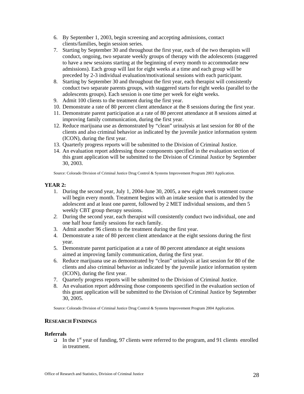- 6. By September 1, 2003, begin screening and accepting admissions, contact clients/families, begin session series.
- 7. Starting by September 30 and throughout the first year, each of the two therapists will conduct, ongoing, two separate weekly groups of therapy with the adolescents (staggered to have a new sessions starting at the beginning of every month to accommodate new admissions). Each group will last for eight weeks at a time and each group will be preceded by 2-3 individual evaluation/motivational sessions with each participant.
- 8. Starting by September 30 and throughout the first year, each therapist will consistently conduct two separate parents groups, with staggered starts for eight weeks (parallel to the adolescents groups). Each session is one time per week for eight weeks.
- 9. Admit 100 clients to the treatment during the first year.
- 10. Demonstrate a rate of 80 percent client attendance at the 8 sessions during the first year.
- 11. Demonstrate parent participation at a rate of 80 percent attendance at 8 sessions aimed at improving family communication, during the first year.
- 12. Reduce marijuana use as demonstrated by "clean" urinalysis at last session for 80 of the clients and also criminal behavior as indicated by the juvenile justice information system (ICON), during the first year.
- 13. Quarterly progress reports will be submitted to the Division of Criminal Justice.
- 14. An evaluation report addressing those components specified in the evaluation section of this grant application will be submitted to the Division of Criminal Justice by September 30, 2003.

Source: Colorado Division of Criminal Justice Drug Control & Systems Improvement Program 2003 Application.

# **YEAR 2:**

- 1. During the second year, July 1, 2004-June 30, 2005, a new eight week treatment course will begin every month. Treatment begins with an intake session that is attended by the adolescent and at least one parent, followed by 2 MET individual sessions, and then 5 weekly CBT group therapy sessions.
- *2.* During the second year, each therapist will consistently conduct two individual, one and one half hour family sessions for each family.
- 3. Admit another 96 clients to the treatment during the first year.
- 4. Demonstrate a rate of 80 percent client attendance at the eight sessions during the first year.
- 5. Demonstrate parent participation at a rate of 80 percent attendance at eight sessions aimed at improving family communication, during the first year.
- 6. Reduce marijuana use as demonstrated by "clean" urinalysis at last session for 80 of the clients and also criminal behavior as indicated by the juvenile justice information system (ICON), during the first year.
- 7. Quarterly progress reports will be submitted to the Division of Criminal Justice.
- 8. An evaluation report addressing those components specified in the evaluation section of this grant application will be submitted to the Division of Criminal Justice by September 30, 2005.

Source: Colorado Division of Criminal Justice Drug Control & Systems Improvement Program 2004 Application.

# **RESEARCH FINDINGS**

#### **Referrals**

 $\Box$  In the 1<sup>st</sup> year of funding, 97 clients were referred to the program, and 91 clients enrolled in treatment.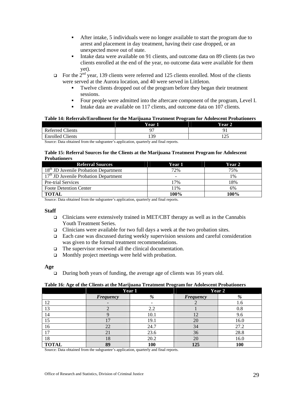- After intake, 5 individuals were no longer available to start the program due to arrest and placement in day treatment, having their case dropped, or an unexpected move out of state.
- Intake data were available on 91 clients, and outcome data on 89 clients (as two clients enrolled at the end of the year, no outcome data were available for them yet).
- $\Box$  For the  $2^{nd}$  year, 139 clients were referred and 125 clients enrolled. Most of the clients were served at the Aurora location, and 40 were served in Littleton.
	- Twelve clients dropped out of the program before they began their treatment sessions.
	- Four people were admitted into the aftercare component of the program, Level I.
	- Intake data are available on 117 clients, and outcome data on 107 clients.

#### **Table 14: Referrals/Enrollment for the Marijuana Treatment Program for Adolescent Probationers**

|                         | Year . | Year    |
|-------------------------|--------|---------|
| <b>Referred Clients</b> |        |         |
| <b>Enrolled Clients</b> | 139    | ت که به |

Source: Data obtained from the subgrantee's application, quarterly and final reports.

#### **Table 15: Referral Sources for the Clients at the Marijuana Treatment Program for Adolescent Probationers**

| <b>Referral Sources</b>                           | Year 1 | Year 2 |
|---------------------------------------------------|--------|--------|
| 18 <sup>th</sup> JD Juvenile Probation Department | 72%    | 75%    |
| 17 <sup>th</sup> JD Juvenile Probation Department | -      | 1%     |
| Pre-trial Services                                | 17%    | 18%    |
| <b>Foote Detention Center</b>                     | 11%    | 6%     |
| <b>TOTAL</b>                                      | 100%   | 100%   |

Source: Data obtained from the subgrantee's application, quarterly and final reports.

#### **Staff**

- Clinicians were extensively trained in MET/CBT therapy as well as in the Cannabis Youth Treatment Series.
- $\Box$  Clinicians were available for two full days a week at the two probation sites.
- Each case was discussed during weekly supervision sessions and careful consideration was given to the formal treatment recommendations.
- □ The supervisor reviewed all the clinical documentation.
- $\Box$  Monthly project meetings were held with probation.

**Age** 

 $\Box$  During both years of funding, the average age of clients was 16 years old.

#### **Table 16: Age of the Clients at the Marijuana Treatment Program for Adolescent Probationers**

|              | Year 1           |      | Year 2           |      |
|--------------|------------------|------|------------------|------|
|              | <b>Frequency</b> | %    | <b>Frequency</b> | %    |
| 12           |                  |      |                  | 1.6  |
| 13           |                  | 2.2  |                  | 0.8  |
| 14           |                  | 10.1 | 12               | 9.6  |
| 15           | 17               | 19.1 | 20               | 16.0 |
| 16           | 22               | 24.7 | 34               | 27.2 |
| 17           | 21               | 23.6 | 36               | 28.8 |
| 18           | 18               | 20.2 | 20               | 16.0 |
| <b>TOTAL</b> | 89               | 100  | 125              | 100  |

Source: Data obtained from the subgrantee's application, quarterly and final reports.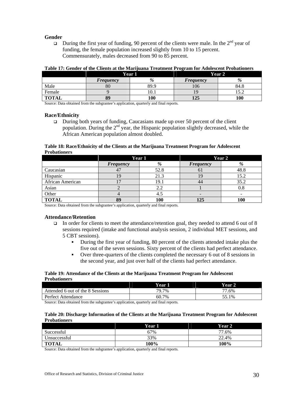# **Gender**

During the first year of funding, 90 percent of the clients were male. In the  $2^{nd}$  year of funding, the female population increased slightly from 10 to 15 percent. Commensurately, males decreased from 90 to 85 percent.

|              | Year 1           |      | Year 2           |      |
|--------------|------------------|------|------------------|------|
|              | <b>Frequency</b> | %    | <b>Frequency</b> | %    |
| Male         | 80               | 89.9 | 106              | 84.8 |
| Female       |                  | 10.1 | 19               |      |
| <b>TOTA'</b> | 89               | 100  | 125              | 100  |

#### **Table 17: Gender of the Clients at the Marijuana Treatment Program for Adolescent Probationers**

Source: Data obtained from the subgrantee's application, quarterly and final reports.

#### **Race/Ethnicity**

 $\Box$  During both years of funding, Caucasians made up over 50 percent of the client population. During the  $2<sup>nd</sup>$  year, the Hispanic population slightly decreased, while the African American population almost doubled.

#### **Table 18: Race/Ethnicity of the Clients at the Marijuana Treatment Program for Adolescent Probationers**

|                  | Year 1           |      | Year 2           |      |
|------------------|------------------|------|------------------|------|
|                  | <b>Frequency</b> | %    | <b>Frequency</b> | %    |
| Caucasian        |                  | 52.8 | υı               | 48.8 |
| Hispanic         |                  | 21.3 |                  | 15.2 |
| African American |                  | 19.1 | 44               | 35.2 |
| Asian            |                  | 2.2  |                  | 0.8  |
| Other            |                  | 4.5  |                  |      |
| <b>TOTAL</b>     | 89               | 100  | 125              | 100  |

Source: Data obtained from the subgrantee's application, quarterly and final reports.

#### **Attendance/Retention**

- In order for clients to meet the attendance/retention goal, they needed to attend 6 out of 8 sessions required (intake and functional analysis session, 2 individual MET sessions, and 5 CBT sessions).
	- During the first year of funding, 80 percent of the clients attended intake plus the five out of the seven sessions. Sixty percent of the clients had perfect attendance.
	- Over three-quarters of the clients completed the necessary 6 out of 8 sessions in the second year, and just over half of the clients had perfect attendance.

#### **Table 19: Attendance of the Clients at the Marijuana Treatment Program for Adolescent Probationers**

|                                  | Year l | Vear  |
|----------------------------------|--------|-------|
| Attended 6 out of the 8 Sessions | 79.7%  | 77.6% |
| Perfect Attendance               | 60.7%  | 55.1% |

Source: Data obtained from the subgrantee's application, quarterly and final reports.

#### **Table 20: Discharge Information of the Clients at the Marijuana Treatment Program for Adolescent Probationers**

|              | Year 1 | <b>Year 2</b> |
|--------------|--------|---------------|
| Successful   | 67%    | 77.6%         |
| Unsuccessful | 33%    | 22.4%         |
| <b>TOTAL</b> | 100%   | 100%          |

Source: Data obtained from the subgrantee's application, quarterly and final reports.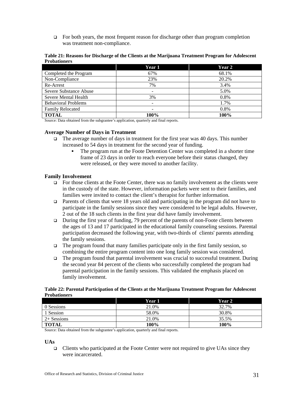$\Box$  For both years, the most frequent reason for discharge other than program completion was treatment non-compliance.

| Table 21: Reasons for Discharge of the Clients at the Marijuana Treatment Program for Adolescent |  |  |
|--------------------------------------------------------------------------------------------------|--|--|
| <b>Probationers</b>                                                                              |  |  |

|                            | Year 1 | Year 2 |
|----------------------------|--------|--------|
| Completed the Program      | 67%    | 68.1%  |
| Non-Compliance             | 23%    | 20.2%  |
| Re-Arrest                  | 7%     | 3.4%   |
| Severe Substance Abuse     |        | 5.0%   |
| Severe Mental Health       | 3%     | 0.8%   |
| <b>Behavioral Problems</b> | -      | 1.7%   |
| <b>Family Relocated</b>    |        | 0.8%   |
| <b>TOTAL</b>               | 100%   | 100%   |

Source: Data obtained from the subgrantee's application, quarterly and final reports.

#### **Average Number of Days in Treatment**

- $\Box$  The average number of days in treatment for the first year was 40 days. This number increased to 54 days in treatment for the second year of funding.
	- The program run at the Foote Detention Center was completed in a shorter time frame of 23 days in order to reach everyone before their status changed, they were released, or they were moved to another facility.

#### **Family Involvement**

- $\Box$  For those clients at the Foote Center, there was no family involvement as the clients were in the custody of the state. However, information packets were sent to their families, and families were invited to contact the client's therapist for further information.
- **Parents of clients that were 18 years old and participating in the program did not have to** participate in the family sessions since they were considered to be legal adults. However, 2 out of the 18 such clients in the first year did have family involvement.
- During the first year of funding, 79 percent of the parents of non-Foote clients between the ages of 13 and 17 participated in the educational family counseling sessions. Parental participation decreased the following year, with two-thirds of clients' parents attending the family sessions.
- The program found that many families participate only in the first family session, so combining the entire program content into one long family session was considered.
- $\Box$  The program found that parental involvement was crucial to successful treatment. During the second year 84 percent of the clients who successfully completed the program had parental participation in the family sessions. This validated the emphasis placed on family involvement.

| Table 22: Parental Participation of the Clients at the Marijuana Treatment Program for Adolescent |  |  |
|---------------------------------------------------------------------------------------------------|--|--|
| <b>Probationers</b>                                                                               |  |  |

|               | Year 1 | Year 2 |
|---------------|--------|--------|
| 0 Sessions    | 21.0%  | 32.7%  |
| ' Session     | 58.0%  | 30.8%  |
| $2+$ Sessions | 21.0%  | 35.5%  |
| <b>TOTAL</b>  | 100%   | 100%   |

Source: Data obtained from the subgrantee's application, quarterly and final reports.

#### **UAs**

Clients who participated at the Foote Center were not required to give UAs since they were incarcerated.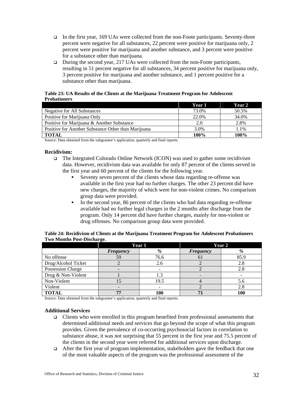- In the first year, 169 UAs were collected from the non-Foote participants. Seventy-three percent were negative for all substances, 22 percent were positive for marijuana only, 2 percent were positive for marijuana and another substance, and 3 percent were positive for a substance other than marijuana.
- During the second year,  $217 \text{ UAs}$  were collected from the non-Foote participants, resulting in 51 percent negative for all substances, 34 percent positive for marijuana only, 3 percent positive for marijuana and another substance, and 1 percent positive for a substance other than marijuana.

#### **Table 23: UA Results of the Clients at the Marijuana Treatment Program for Adolescent Probationers**

|                                                     | Year 1 | Year 2 |
|-----------------------------------------------------|--------|--------|
| Negative for All Substances                         | 73.0%  | 50.5%  |
| Positive for Marijuana Only                         | 22.0%  | 34.0%  |
| Positive for Marijuana & Another Substance          | 2.0    | 2.8%   |
| Positive for Another Substance Other than Marijuana | 3.0%   | 1.1%   |
| <b>TOTAL</b>                                        | 100%   | 100%   |

Source: Data obtained from the subgrantee's application, quarterly and final reports.

## **Recidivism:**

- The Integrated Colorado Online Network (ICON) was used to gather some recidivism data. However, recidivism data was available for only 87 percent of the clients served in the first year and 60 percent of the clients for the following year.
	- Seventy seven percent of the clients whose data regarding re-offense was available in the first year had no further charges. The other 23 percent did have new charges, the majority of which were for non-violent crimes. No comparison group data were provided.
	- In the second year, 86 percent of the clients who had data regarding re-offense available had no further legal charges in the 2 months after discharge from the program. Only 14 percent did have further charges, mainly for non-violent or drug offenses. No comparison group data were provided.

|                     | Year 1           |      | Year 2           |      |
|---------------------|------------------|------|------------------|------|
|                     | <b>Frequency</b> | %    | <b>Frequency</b> | %    |
| No offense          | 59               | 76.6 |                  | 85.9 |
| Drug/Alcohol Ticket |                  | 2.6  |                  | 2.8  |
| Possession Charge   |                  |      |                  | 2.8  |
| Drug & Non-Violent  |                  | 1.3  |                  |      |
| Non-Violent         |                  | 19.5 |                  | 5.6  |
| Violent             |                  |      |                  | 2.8  |
| <b>TOTAL</b>        | 77               | 100  |                  | 100  |

**Table 24: Recidivism of Clients at the Marijuana Treatment Program for Adolescent Probationers Two Months Post-Discharge.**

Source: Data obtained from the subgrantee's application, quarterly and final reports.

#### **Additional Services**

- $\Box$  Clients who were enrolled in this program benefited from professional assessments that determined additional needs and services that go beyond the scope of what this program provides. Given the prevalence of co-occurring psychosocial factors in correlation to substance abuse, it was not surprising that 55 percent in the first year and 75.5 percent of the clients in the second year were referred for additional services upon discharge.
- $\Box$  After the first year of program implementation, stakeholders gave the feedback that one of the most valuable aspects of the program was the professional assessment of the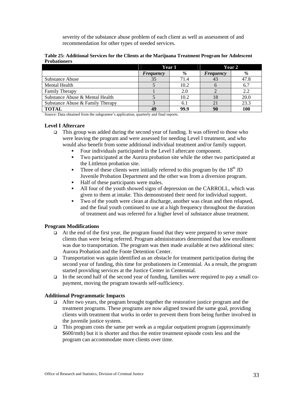severity of the substance abuse problem of each client as well as assessment of and recommendation for other types of needed services.

|                                  |           | Year 1 |                  | Year 2 |  |
|----------------------------------|-----------|--------|------------------|--------|--|
|                                  | Frequency | %      | <b>Frequency</b> | %      |  |
| Substance Abuse                  | 35        | 71.4   |                  | 47.8   |  |
| Mental Health                    |           | 10.2   |                  | 6.7    |  |
| <b>Family Therapy</b>            |           | 2.0    |                  | 2.2    |  |
| Substance Abuse & Mental Health  |           | 10.2   | 18               | 20.0   |  |
| Substance Abuse & Family Therapy |           | 6.1    |                  | 23.3   |  |
| TOTAL                            | 49        | 99.9   |                  |        |  |

**Table 25: Additional Services for the Clients at the Marijuana Treatment Program for Adolescent Probationers**

Source: Data obtained from the subgrantee's application, quarterly and final reports.

## **Level I Aftercare**

- This group was added during the second year of funding. It was offered to those who were leaving the program and were assessed for needing Level I treatment, and who would also benefit from some additional individual treatment and/or family support.
	- Four individuals participated in the Level I aftercare component.
	- Two participated at the Aurora probation site while the other two participated at the Littleton probation site.
	- Three of these clients were initially referred to this program by the  $18<sup>th</sup>$  JD Juvenile Probation Department and the other was from a diversion program.
	- Half of these participants were males.
	- All four of the youth showed signs of depression on the CARROLL, which was given to them at intake. This demonstrated their need for individual support.
	- Two of the youth were clean at discharge, another was clean and then relapsed, and the final youth continued to use at a high frequency throughout the duration of treatment and was referred for a higher level of substance abuse treatment.

#### **Program Modifications**

- $\Box$  At the end of the first year, the program found that they were prepared to serve more clients than were being referred. Program administrators determined that low enrollment was due to transportation. The program was then made available at two additional sites: Aurora Probation and the Foote Detention Center.
- Transportation was again identified as an obstacle for treatment participation during the second year of funding, this time for probationers in Centennial. As a result, the program started providing services at the Justice Center in Centennial.
- $\Box$  In the second half of the second year of funding, families were required to pay a small copayment, moving the program towards self-sufficiency.

#### **Additional Programmatic Impacts**

- $\Box$  After two years, the program brought together the restorative justice program and the treatment programs. These programs are now aligned toward the same goal, providing clients with treatment that works in order to prevent them from being further involved in the juvenile justice system.
- $\Box$  This program costs the same per week as a regular outpatient program (approximately \$600/mth) but it is shorter and thus the entire treatment episode costs less and the program can accommodate more clients over time.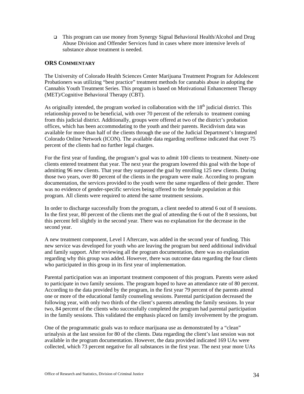This program can use money from Synergy Signal Behavioral Health/Alcohol and Drug Abuse Division and Offender Services fund in cases where more intensive levels of substance abuse treatment is needed.

# **ORS COMMENTARY**

The University of Colorado Health Sciences Center Marijuana Treatment Program for Adolescent Probationers was utilizing "best practice" treatment methods for cannabis abuse in adopting the Cannabis Youth Treatment Series. This program is based on Motivational Enhancement Therapy (MET)/Cognitive Behavioral Therapy (CBT).

As originally intended, the program worked in collaboration with the  $18<sup>th</sup>$  judicial district. This relationship proved to be beneficial, with over 70 percent of the referrals to treatment coming from this judicial district. Additionally, groups were offered at two of the district's probation offices, which has been accommodating to the youth and their parents. Recidivism data was available for more than half of the clients through the use of the Judicial Department's Integrated Colorado Online Network (ICON). The available data regarding reoffense indicated that over 75 percent of the clients had no further legal charges.

For the first year of funding, the program's goal was to admit 100 clients to treatment. Ninety-one clients entered treatment that year. The next year the program lowered this goal with the hope of admitting 96 new clients. That year they surpassed the goal by enrolling 125 new clients. During those two years, over 80 percent of the clients in the program were male. According to program documentation, the services provided to the youth were the same regardless of their gender. There was no evidence of gender-specific services being offered to the female population at this program. All clients were required to attend the same treatment sessions.

In order to discharge successfully from the program, a client needed to attend 6 out of 8 sessions. In the first year, 80 percent of the clients met the goal of attending the 6 out of the 8 sessions, but this percent fell slightly in the second year. There was no explanation for the decrease in the second year.

A new treatment component, Level I Aftercare, was added in the second year of funding. This new service was developed for youth who are leaving the program but need additional individual and family support. After reviewing all the program documentation, there was no explanation regarding why this group was added. However, there was outcome data regarding the four clients who participated in this group in its first year of implementation.

Parental participation was an important treatment component of this program. Parents were asked to participate in two family sessions. The program hoped to have an attendance rate of 80 percent. According to the data provided by the program, in the first year 79 percent of the parents attend one or more of the educational family counseling sessions. Parental participation decreased the following year, with only two thirds of the client's parents attending the family sessions. In year two, 84 percent of the clients who successfully completed the program had parental participation in the family sessions. This validated the emphasis placed on family involvement by the program.

One of the programmatic goals was to reduce marijuana use as demonstrated by a "clean" urinalysis at the last session for 80 of the clients. Data regarding the client's last session was not available in the program documentation. However, the data provided indicated 169 UAs were collected, which 73 percent negative for all substances in the first year. The next year more UAs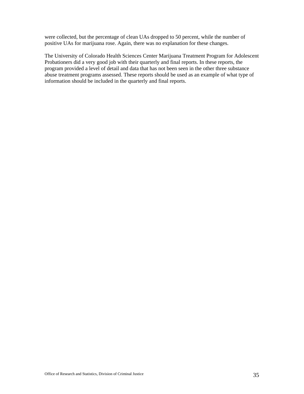were collected, but the percentage of clean UAs dropped to 50 percent, while the number of positive UAs for marijuana rose. Again, there was no explanation for these changes.

The University of Colorado Health Sciences Center Marijuana Treatment Program for Adolescent Probationers did a very good job with their quarterly and final reports. In these reports, the program provided a level of detail and data that has not been seen in the other three substance abuse treatment programs assessed. These reports should be used as an example of what type of information should be included in the quarterly and final reports.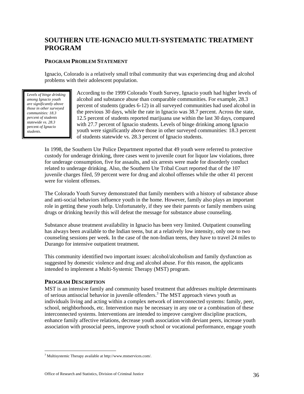# **SOUTHERN UTE-IGNACIO MULTI-SYSTEMATIC TREATMENT PROGRAM**

# **PROGRAM PROBLEM STATEMENT**

Ignacio, Colorado is a relatively small tribal community that was experiencing drug and alcohol problems with their adolescent population.

*Levels of binge drinking among Ignacio youth are significantly above those in other surveyed communities: 18.3 percent of students statewide vs. 28.3* percent *of Ignacio students*.

According to the 1999 Colorado Youth Survey, Ignacio youth had higher levels of alcohol and substance abuse than comparable communities. For example, 28.3 percent of students (grades 6-12) in all surveyed communities had used alcohol in the previous 30 days, while the rate in Ignacio was 38.7 percent. Across the state, 12.5 percent of students reported marijuana use within the last 30 days, compared with 27.7 percent of Ignacio students*.* Levels of binge drinking among Ignacio youth were significantly above those in other surveyed communities: 18.3 percent of students statewide vs. 28.3 percent of Ignacio students.

In 1998, the Southern Ute Police Department reported that 49 youth were referred to protective custody for underage drinking, three cases went to juvenile court for liquor law violations, three for underage consumption, five for assaults, and six arrests were made for disorderly conduct related to underage drinking. Also, the Southern Ute Tribal Court reported that of the 107 juvenile charges filed, 59 percent were for drug and alcohol offenses while the other 41 percent were for violent offenses.

The Colorado Youth Survey demonstrated that family members with a history of substance abuse and anti-social behaviors influence youth in the home. However, family also plays an important role in getting these youth help. Unfortunately, if they see their parents or family members using drugs or drinking heavily this will defeat the message for substance abuse counseling.

Substance abuse treatment availability in Ignacio has been very limited. Outpatient counseling has always been available to the Indian teens, but at a relatively low intensity, only one to two counseling sessions per week. In the case of the non-Indian teens, they have to travel 24 miles to Durango for intensive outpatient treatment.

This community identified two important issues: alcohol/alcoholism and family dysfunction as suggested by domestic violence and drug and alcohol abuse. For this reason, the applicants intended to implement a Multi-Systemic Therapy (MST) program.

# **PROGRAM DESCRIPTION**

MST is an intensive family and community based treatment that addresses multiple determinants of serious antisocial behavior in juvenile offenders.<sup>3</sup> The MST approach views youth as individuals living and acting within a complex network of interconnected systems: family, peer, school, neighborhoods, etc. Intervention may be necessary in any one or a combination of these interconnected systems. Interventions are intended to improve caregiver discipline practices, enhance family affective relations, decrease youth association with deviant peers, increase youth association with prosocial peers, improve youth school or vocational performance, engage youth

 $\overline{a}$ <sup>3</sup> Multisystemic Therapy available at http://www.mstservices.com/.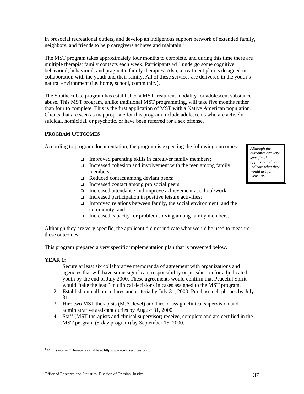in prosocial recreational outlets, and develop an indigenous support network of extended family, neighbors, and friends to help caregivers achieve and maintain.<sup>4</sup>

The MST program takes approximately four months to complete, and during this time there are multiple therapist family contacts each week. Participants will undergo some cognitive behavioral, behavioral, and pragmatic family therapies. Also, a treatment plan is designed in collaboration with the youth and their family. All of these services are delivered in the youth's natural environment (i.e. home, school, community).

The Southern Ute program has established a MST treatment modality for adolescent substance abuse. This MST program, unlike traditional MST programming, will take five months rather than four to complete. This is the first application of MST with a Native American population. Clients that are seen as inappropriate for this program include adolescents who are actively suicidal, homicidal, or psychotic, or have been referred for a sex offense.

# **PROGRAM OUTCOMES**

According to program documentation, the program is expecting the following outcomes: **Although the** 

- $\Box$  Improved parenting skills in caregiver family members;
- Increased cohesion and involvement with the teen among family members;
- Reduced contact among deviant peers;
- $\Box$  Increased contact among pro social peers;
- Increased attendance and improve achievement at school/work;
- $\Box$  Increased participation in positive leisure activities;
- $\Box$  Improved relations between family, the social environment, and the community; and
- $\Box$  Increased capacity for problem solving among family members.

Although they are very specific, the applicant did not indicate what would be used to measure these outcomes.

This program prepared a very specific implementation plan that is presented below.

# **YEAR 1:**

- 1. Secure at least six collaborative memoranda of agreement with organizations and agencies that will have some significant responsibility or jurisdiction for adjudicated youth by the end of July 2000. These agreements would confirm that Peaceful Spirit would "take the lead" in clinical decisions in cases assigned to the MST program.
- 2. Establish on-call procedures and criteria by July 31, 2000. Purchase cell phones by July 31.
- 3. Hire two MST therapists (M.A. level) and hire or assign clinical supervision and administrative assistant duties by August 31, 2000.
- 4. Staff (MST therapists and clinical supervisor) receive, complete and are certified in the MST program (5-day program) by September 15, 2000.

Office of Research and Statistics, Division of Criminal Justice 37

*outcomes are very specific, the applicant did not indicate what they would use for measures.* 

 $\overline{a}$ 4 Multisystemic Therapy available at http://www.mstservices.com/.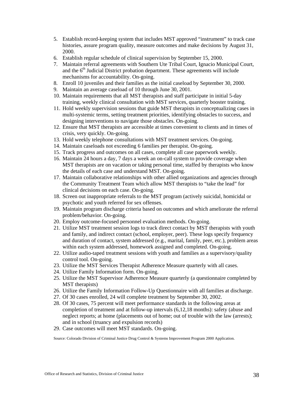- 5. Establish record-keeping system that includes MST approved "instrument" to track case histories, assure program quality, measure outcomes and make decisions by August 31, 2000.
- 6. Establish regular schedule of clinical supervision by September 15, 2000.
- 7. Maintain referral agreements with Southern Ute Tribal Court, Ignacio Municipal Court, and the  $6<sup>th</sup>$  Judicial District probation department. These agreements will include mechanisms for accountability. On-going.
- 8. Enroll 10 juveniles and their families as the initial caseload by September 30, 2000.
- 9. Maintain an average caseload of 10 through June 30, 2001.
- 10. Maintain requirements that all MST therapists and staff participate in initial 5-day training, weekly clinical consultation with MST services, quarterly booster training.
- 11. Hold weekly supervision sessions that guide MST therapists in conceptualizing cases in multi-systemic terms, setting treatment priorities, identifying obstacles to success, and designing interventions to navigate those obstacles. On-going.
- 12. Ensure that MST therapists are accessible at times convenient to clients and in times of crisis, very quickly. On-going.
- 13. Hold weekly telephone consultations with MST treatment services. On-going.
- 14. Maintain caseloads not exceeding 6 families per therapist. On-going.
- 15. Track progress and outcomes on all cases, complete all case paperwork weekly.
- 16. Maintain 24 hours a day, 7 days a week an on-call system to provide coverage when MST therapists are on vacation or taking personal time, staffed by therapists who know the details of each case and understand MST. On-going.
- 17. Maintain collaborative relationships with other allied organizations and agencies through the Community Treatment Team which allow MST therapists to "take the lead" for clinical decisions on each case. On-going.
- 18. Screen out inappropriate referrals to the MST program (actively suicidal, homicidal or psychotic and youth referred for sex offenses.
- 19. Maintain program discharge criteria based on outcomes and which ameliorate the referral problem/behavior. On-going.
- 20. Employ outcome-focused personnel evaluation methods. On-going.
- 21. Utilize MST treatment session logs to track direct contact by MST therapists with youth and family, and indirect contact (school, employer, peer). These logs specify frequency and duration of contact, system addressed (e.g., marital, family, peer, etc.), problem areas within each system addressed, homework assigned and completed. On-going.
- 22. Utilize audio-taped treatment sessions with youth and families as a supervisory/quality control tool. On-going.
- 23. Utilize the MST Services Therapist Adherence Measure quarterly with all cases.
- 24. Utilize Family Information form. On-going.
- 25. Utilize the MST Supervisor Adherence Measure quarterly (a questionnaire completed by MST therapists)
- 26. Utilize the Family Information Follow-Up Questionnaire with all families at discharge.
- 27. Of 30 cases enrolled, 24 will complete treatment by September 30, 2002.
- 28. Of 30 cases, 75 percent will meet performance standards in the following areas at completion of treatment and at follow-up intervals (6,12,18 months): safety (abuse and neglect reports; at home (placements out of home; out of trouble with the law (arrests); and in school (truancy and expulsion records)
- 29. Case outcomes will meet MST standards. On-going.

Source: Colorado Division of Criminal Justice Drug Control & Systems Improvement Program 2000 Application.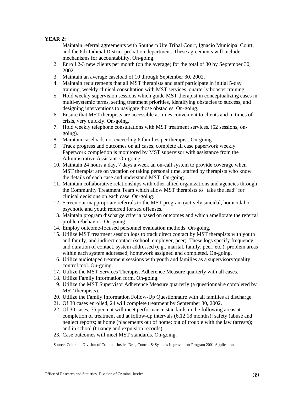# **YEAR 2:**

- 1. Maintain referral agreements with Southern Ute Tribal Court, Ignacio Municipal Court, and the 6th Judicial District probation department. These agreements will include mechanisms for accountability. On-going.
- 2. Enroll 2-3 new clients per month (on the average) for the total of 30 by September 30, 2002.
- 3. Maintain an average caseload of 10 through September 30, 2002.
- 4. Maintain requirements that all MST therapists and staff participate in initial 5-day training, weekly clinical consultation with MST services, quarterly booster training.
- 5. Hold weekly supervision sessions which guide MST therapist in conceptualizing cases in multi-systemic terms, setting treatment priorities, identifying obstacles to success, and designing interventions to navigate those obstacles. On-going.
- 6. Ensure that MST therapists are accessible at times convenient to clients and in times of crisis, very quickly. On-going.
- 7. Hold weekly telephone consultations with MST treatment services. (52 sessions, ongoing).
- 8. Maintain caseloads not exceeding 6 families per therapist. On-going.
- 9. Track progress and outcomes on all cases, complete all case paperwork weekly. Paperwork completion is monitored by MST supervisor with assistance from the Administrative Assistant. On-going.
- 10. Maintain 24 hours a day, 7 days a week an on-call system to provide coverage when MST therapist are on vacation or taking personal time, staffed by therapists who know the details of each case and understand MST. On-going.
- 11. Maintain collaborative relationships with other allied organizations and agencies through the Community Treatment Team which allow MST therapists to "take the lead" for clinical decisions on each case. On-going.
- 12. Screen out inappropriate referrals to the MST program (actively suicidal, homicidal or psychotic and youth referred for sex offenses.
- 13. Maintain program discharge criteria based on outcomes and which ameliorate the referral problem/behavior. On-going.
- 14. Employ outcome-focused personnel evaluation methods. On-going.
- 15. Utilize MST treatment session logs to track direct contact by MST therapists with youth and family, and indirect contact (school, employer, peer). These logs specify frequency and duration of contact, system addressed (e.g., marital, family, peer, etc.), problem areas within each system addressed, homework assigned and completed. On-going.
- 16. Utilize audiotaped treatment sessions with youth and families as a supervisory/quality control tool. On-going.
- 17. Utilize the MST Services Therapist Adherence Measure quarterly with all cases.
- 18. Utilize Family Information form. On-going.
- 19. Utilize the MST Supervisor Adherence Measure quarterly (a questionnaire completed by MST therapists).
- 20. Utilize the Family Information Follow-Up Questionnaire with all families at discharge.
- 21. Of 30 cases enrolled, 24 will complete treatment by September 30, 2002.
- 22. Of 30 cases, 75 percent will meet performance standards in the following areas at completion of treatment and at follow-up intervals (6,12,18 months): safety (abuse and neglect reports; at home (placements out of home; out of trouble with the law (arrests); and in school (truancy and expulsion records)
- 23. Case outcomes will meet MST standards. On-going.

Source: Colorado Division of Criminal Justice Drug Control & Systems Improvement Program 2001 Application.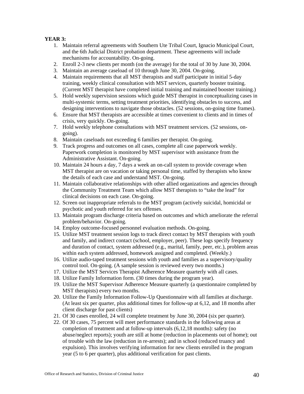# **YEAR 3:**

- 1. Maintain referral agreements with Southern Ute Tribal Court, Ignacio Municipal Court, and the 6th Judicial District probation department. These agreements will include mechanisms for accountability. On-going.
- 2. Enroll 2-3 new clients per month (on the average) for the total of 30 by June 30, 2004.
- 3. Maintain an average caseload of 10 through June 30, 2004. On-going.
- 4. Maintain requirements that all MST therapists and staff participate in initial 5-day training, weekly clinical consultation with MST services, quarterly booster training. (Current MST therapist have completed initial training and maintained booster training.)
- 5. Hold weekly supervision sessions which guide MST therapist in conceptualizing cases in multi-systemic terms, setting treatment priorities, identifying obstacles to success, and designing interventions to navigate those obstacles. (52 sessions, on-going time frames).
- 6. Ensure that MST therapists are accessible at times convenient to clients and in times of crisis, very quickly. On-going.
- 7. Hold weekly telephone consultations with MST treatment services. (52 sessions, ongoing).
- 8. Maintain caseloads not exceeding 6 families per therapist. On-going.
- 9. Track progress and outcomes on all cases, complete all case paperwork weekly. Paperwork completion is monitored by MST supervisor with assistance from the Administrative Assistant. On-going.
- 10. Maintain 24 hours a day, 7 days a week an on-call system to provide coverage when MST therapist are on vacation or taking personal time, staffed by therapists who know the details of each case and understand MST. On-going.
- 11. Maintain collaborative relationships with other allied organizations and agencies through the Community Treatment Team which allow MST therapists to "take the lead" for clinical decisions on each case. On-going.
- 12. Screen out inappropriate referrals to the MST program (actively suicidal, homicidal or psychotic and youth referred for sex offenses.
- 13. Maintain program discharge criteria based on outcomes and which ameliorate the referral problem/behavior. On-going.
- 14. Employ outcome-focused personnel evaluation methods. On-going.
- 15. Utilize MST treatment session logs to track direct contact by MST therapists with youth and family, and indirect contact (school, employer, peer). These logs specify frequency and duration of contact, system addressed (e.g., marital, family, peer, etc.), problem areas within each system addressed, homework assigned and completed. (Weekly.)
- 16. Utilize audio-taped treatment sessions with youth and families as a supervisory/quality control tool. On-going. (A sample session is reviewed every two months.)
- 17. Utilize the MST Services Therapist Adherence Measure quarterly with all cases.
- 18. Utilize Family Information form. (30 times during the program year).
- 19. Utilize the MST Supervisor Adherence Measure quarterly (a questionnaire completed by MST therapists) every two months.
- 20. Utilize the Family Information Follow-Up Questionnaire with all families at discharge. (At least six per quarter, plus additional times for follow-up at 6,12, and 18 months after client discharge for past clients)
- 21. Of 30 cases enrolled, 24 will complete treatment by June 30, 2004 (six per quarter).
- 22. Of 30 cases, 75 percent will meet performance standards in the following areas at completion of treatment and at follow-up intervals (6,12,18 months): safety (no abuse/neglect reports); youth are still at home (reduction in placements out of home); out of trouble with the law (reduction in re-arrests); and in school (reduced truancy and expulsion). This involves verifying information for new clients enrolled in the program year (5 to 6 per quarter), plus additional verification for past clients.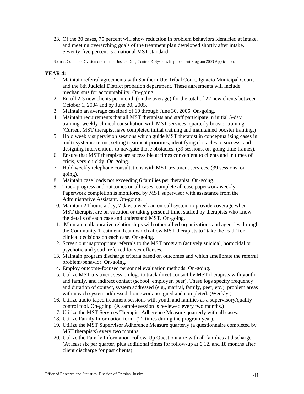23. Of the 30 cases, 75 percent will show reduction in problem behaviors identified at intake, and meeting overarching goals of the treatment plan developed shortly after intake. Seventy-five percent is a national MST standard.

Source: Colorado Division of Criminal Justice Drug Control & Systems Improvement Program 2003 Application.

# **YEAR 4:**

- 1. Maintain referral agreements with Southern Ute Tribal Court, Ignacio Municipal Court, and the 6th Judicial District probation department. These agreements will include mechanisms for accountability. On-going.
- 2. Enroll 2-3 new clients per month (on the average) for the total of 22 new clients between October 1, 2004 and by June 30, 2005.
- 3. Maintain an average caseload of 10 through June 30, 2005. On-going.
- 4. Maintain requirements that all MST therapists and staff participate in initial 5-day training, weekly clinical consultation with MST services, quarterly booster training. (Current MST therapist have completed initial training and maintained booster training.)
- 5. Hold weekly supervision sessions which guide MST therapist in conceptualizing cases in multi-systemic terms, setting treatment priorities, identifying obstacles to success, and designing interventions to navigate those obstacles. (39 sessions, on-going time frames).
- 6. Ensure that MST therapists are accessible at times convenient to clients and in times of crisis, very quickly. On-going.
- 7. Hold weekly telephone consultations with MST treatment services. (39 sessions, ongoing).
- 8. Maintain case loads not exceeding 6 families per therapist. On-going.
- 9. Track progress and outcomes on all cases, complete all case paperwork weekly. Paperwork completion is monitored by MST supervisor with assistance from the Administrative Assistant. On-going.
- 10. Maintain 24 hours a day, 7 days a week an on-call system to provide coverage when MST therapist are on vacation or taking personal time, staffed by therapists who know the details of each case and understand MST. On-going.
- 11. Maintain collaborative relationships with other allied organizations and agencies through the Community Treatment Team which allow MST therapists to "take the lead" for clinical decisions on each case. On-going.
- 12. Screen out inappropriate referrals to the MST program (actively suicidal, homicidal or psychotic and youth referred for sex offenses.
- 13. Maintain program discharge criteria based on outcomes and which ameliorate the referral problem/behavior. On-going.
- 14. Employ outcome-focused personnel evaluation methods. On-going.
- 15. Utilize MST treatment session logs to track direct contact by MST therapists with youth and family, and indirect contact (school, employer, peer). These logs specify frequency and duration of contact, system addressed (e.g., marital, family, peer, etc.), problem areas within each system addressed, homework assigned and completed. (Weekly.)
- 16. Utilize audio-taped treatment sessions with youth and families as a supervisory/quality control tool. On-going. (A sample session is reviewed every two months.)
- 17. Utilize the MST Services Therapist Adherence Measure quarterly with all cases.
- 18. Utilize Family Information form. (22 times during the program year).
- 19. Utilize the MST Supervisor Adherence Measure quarterly (a questionnaire completed by MST therapists) every two months.
- 20. Utilize the Family Information Follow-Up Questionnaire with all families at discharge. (At least six per quarter, plus additional times for follow-up at 6,12, and 18 months after client discharge for past clients)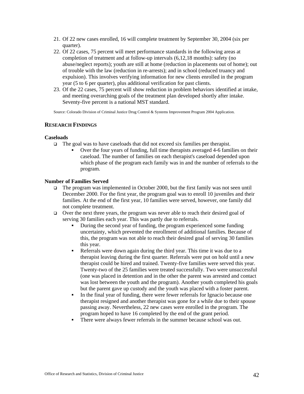- 21. Of 22 new cases enrolled, 16 will complete treatment by September 30, 2004 (six per quarter).
- 22. Of 22 cases, 75 percent will meet performance standards in the following areas at completion of treatment and at follow-up intervals (6,12,18 months): safety (no abuse/neglect reports); youth are still at home (reduction in placements out of home); out of trouble with the law (reduction in re-arrests); and in school (reduced truancy and expulsion). This involves verifying information for new clients enrolled in the program year (5 to 6 per quarter), plus additional verification for past clients.
- 23. Of the 22 cases, 75 percent will show reduction in problem behaviors identified at intake, and meeting overarching goals of the treatment plan developed shortly after intake. Seventy-five percent is a national MST standard.

Source: Colorado Division of Criminal Justice Drug Control & Systems Improvement Program 2004 Application.

# **RESEARCH FINDINGS**

## **Caseloads**

- $\Box$  The goal was to have caseloads that did not exceed six families per therapist.
	- Over the four years of funding, full time therapists averaged 4-6 families on their caseload. The number of families on each therapist's caseload depended upon which phase of the program each family was in and the number of referrals to the program.

## **Number of Families Served**

- The program was implemented in October 2000, but the first family was not seen until December 2000. For the first year, the program goal was to enroll 10 juveniles and their families. At the end of the first year, 10 families were served, however, one family did not complete treatment.
- $\Box$  Over the next three years, the program was never able to reach their desired goal of serving 30 families each year. This was partly due to referrals.
	- During the second year of funding, the program experienced some funding uncertainty, which prevented the enrollment of additional families. Because of this, the program was not able to reach their desired goal of serving 30 families this year.
	- Referrals were down again during the third year. This time it was due to a therapist leaving during the first quarter. Referrals were put on hold until a new therapist could be hired and trained. Twenty-five families were served this year. Twenty-two of the 25 families were treated successfully. Two were unsuccessful (one was placed in detention and in the other the parent was arrested and contact was lost between the youth and the program). Another youth completed his goals but the parent gave up custody and the youth was placed with a foster parent.
	- In the final year of funding, there were fewer referrals for Ignacio because one therapist resigned and another therapist was gone for a while due to their spouse passing away. Nevertheless, 22 new cases were enrolled in the program. The program hoped to have 16 completed by the end of the grant period.
	- There were always fewer referrals in the summer because school was out.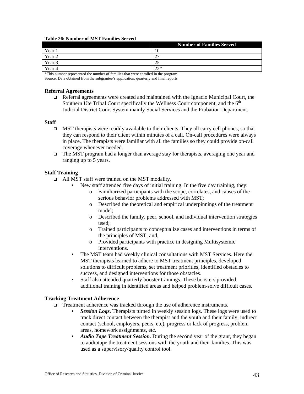#### **Table 26: Number of MST Families Served**

|        | <b>Number of Families Served</b> |  |  |
|--------|----------------------------------|--|--|
| Year 1 | 10                               |  |  |
| Year 2 | ີ<br>∼                           |  |  |
| Year 3 | 25                               |  |  |
| Year 4 | $22*$                            |  |  |

\*This number represented the number of families that were enrolled in the program.

Source: Data obtained from the subgrantee's application, quarterly and final reports.

# **Referral Agreements**

 $\Box$  Referral agreements were created and maintained with the Ignacio Municipal Court, the Southern Ute Tribal Court specifically the Wellness Court component, and the  $6<sup>th</sup>$ Judicial District Court System mainly Social Services and the Probation Department.

#### **Staff**

- $\Box$  MST therapists were readily available to their clients. They all carry cell phones, so that they can respond to their client within minutes of a call. On-call procedures were always in place. The therapists were familiar with all the families so they could provide on-call coverage whenever needed.
- $\Box$  The MST program had a longer than average stay for therapists, averaging one year and ranging up to 5 years.

## **Staff Training**

- All MST staff were trained on the MST modality.
	- New staff attended five days of initial training. In the five day training, they:
		- o Familiarized participants with the scope, correlates, and causes of the serious behavior problems addressed with MST;
		- o Described the theoretical and empirical underpinnings of the treatment model;
		- o Described the family, peer, school, and individual intervention strategies used;
		- o Trained participants to conceptualize cases and interventions in terms of the principles of MST; and,
		- o Provided participants with practice in designing Multisystemic interventions.
	- The MST team had weekly clinical consultations with MST Services. Here the MST therapists learned to adhere to MST treatment principles, developed solutions to difficult problems, set treatment priorities, identified obstacles to success, and designed interventions for those obstacles.
	- Staff also attended quarterly booster trainings. These boosters provided additional training in identified areas and helped problem-solve difficult cases.

# **Tracking Treatment Adherence**

- Treatment adherence was tracked through the use of adherence instruments.
	- *Session Logs.* Therapists turned in weekly session logs. These logs were used to track direct contact between the therapist and the youth and their family, indirect contact (school, employers, peers, etc), progress or lack of progress, problem areas, homework assignments, etc.
	- **Audio Tape Treatment Session.** During the second year of the grant, they began to audiotape the treatment sessions with the youth and their families. This was used as a supervisory/quality control tool.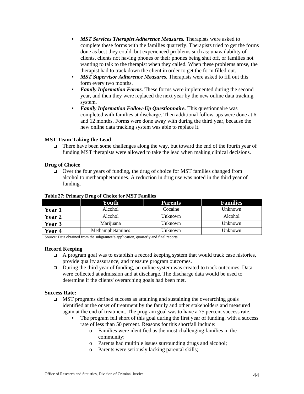- *MST Services Therapist Adherence Measures.* Therapists were asked to complete these forms with the families quarterly. Therapists tried to get the forms done as best they could, but experienced problems such as: unavailability of clients, clients not having phones or their phones being shut off, or families not wanting to talk to the therapist when they called. When these problems arose, the therapist had to track down the client in order to get the form filled out.
- **MST Supervisor Adherence Measures.** Therapists were asked to fill out this form every two months.
- *Family Information Forms.* These forms were implemented during the second year, and then they were replaced the next year by the new online data tracking system.
- **Family Information Follow-Up Questionnaire.** This questionnaire was completed with families at discharge. Then additional follow-ups were done at 6 and 12 months. Forms were done away with during the third year, because the new online data tracking system was able to replace it.

# **MST Team Taking the Lead**

There have been some challenges along the way, but toward the end of the fourth year of funding MST therapists were allowed to take the lead when making clinical decisions.

#### **Drug of Choice**

 $\Box$  Over the four years of funding, the drug of choice for MST families changed from alcohol to methamphetamines. A reduction in drug use was noted in the third year of funding.

|               | Youth            | <b>Parents</b> | <b>Families</b> |
|---------------|------------------|----------------|-----------------|
| <b>Year 1</b> | Alcohol          | Cocaine        | Unknown         |
| <b>Year 2</b> | Alcohol          | Unknown        | Alcohol         |
| <b>Year 3</b> | Marijuana        | Unknown        | Unknown         |
| Year 4        | Methamphetamines | Unknown        | Unknown         |

### **Table 27: Primary Drug of Choice for MST Families**

Source: Data obtained from the subgrantee's application, quarterly and final reports.

#### **Record Keeping**

- $\Box$  A program goal was to establish a record keeping system that would track case histories, provide quality assurance, and measure program outcomes.
- $\Box$  During the third year of funding, an online system was created to track outcomes. Data were collected at admission and at discharge. The discharge data would be used to determine if the clients' overarching goals had been met.

#### **Success Rate:**

- $\Box$  MST programs defined success as attaining and sustaining the overarching goals identified at the onset of treatment by the family and other stakeholders and measured again at the end of treatment. The program goal was to have a 75 percent success rate.
	- The program fell short of this goal during the first year of funding, with a success rate of less than 50 percent. Reasons for this shortfall include:
		- o Families were identified as the most challenging families in the community;
		- o Parents had multiple issues surrounding drugs and alcohol;
		- o Parents were seriously lacking parental skills;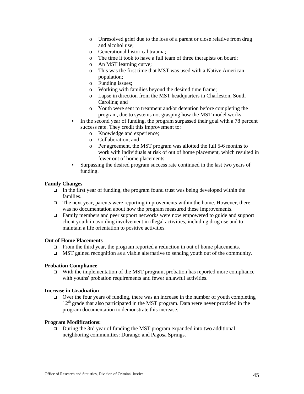- o Unresolved grief due to the loss of a parent or close relative from drug and alcohol use;
- o Generational historical trauma;
- o The time it took to have a full team of three therapists on board;
- o An MST learning curve;
- o This was the first time that MST was used with a Native American population;
- o Funding issues;
- o Working with families beyond the desired time frame;
- o Lapse in direction from the MST headquarters in Charleston, South Carolina; and
- o Youth were sent to treatment and/or detention before completing the program, due to systems not grasping how the MST model works.
- In the second year of funding, the program surpassed their goal with a 78 percent success rate. They credit this improvement to:
	- o Knowledge and experience;
	- o Collaboration; and
	- o Per agreement, the MST program was allotted the full 5-6 months to work with individuals at risk of out of home placement, which resulted in fewer out of home placements.
- Surpassing the desired program success rate continued in the last two years of funding.

## **Family Changes**

- In the first year of funding, the program found trust was being developed within the families.
- $\Box$  The next year, parents were reporting improvements within the home. However, there was no documentation about how the program measured these improvements.
- Family members and peer support networks were now empowered to guide and support client youth in avoiding involvement in illegal activities, including drug use and to maintain a life orientation to positive activities.

#### **Out of Home Placements**

- □ From the third year, the program reported a reduction in out of home placements.
- $\Box$  MST gained recognition as a viable alternative to sending youth out of the community.

# **Probation Compliance**

 $\Box$  With the implementation of the MST program, probation has reported more compliance with youths' probation requirements and fewer unlawful activities.

# **Increase in Graduation**

 $\Box$  Over the four years of funding, there was an increase in the number of youth completing  $12<sup>th</sup>$  grade that also participated in the MST program. Data were never provided in the program documentation to demonstrate this increase.

#### **Program Modifications:**

 During the 3rd year of funding the MST program expanded into two additional neighboring communities: Durango and Pagosa Springs.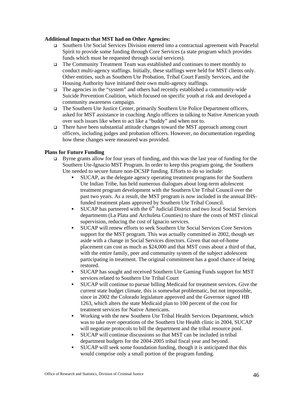# **Additional Impacts that MST had on Other Agencies:**

- Southern Ute Social Services Division entered into a contractual agreement with Peaceful Spirit to provide some funding through Core Services (a state program which provides funds which must be requested through social services).
- The Community Treatment Team was established and continues to meet monthly to conduct multi-agency staffings. Initially, these staffings were held for MST clients only. Other entities, such as Southern Ute Probation, Tribal Court Family Services, and the Housing Authority have initiated their own multi-agency staffings.
- The agencies in the "system" and others had recently established a community-wide Suicide Prevention Coalition, which focused on specific youth at risk and developed a community awareness campaign.
- The Southern Ute Justice Center, primarily Southern Ute Police Department officers, asked for MST assistance in coaching Anglo officers in talking to Native American youth over such issues like when to act like a "buddy" and when not to.
- There have been substantial attitude changes toward the MST approach among court officers, including judges and probation officers. However, no documentation regarding how these changes were measured was provided.

# **Plans for Future Funding**

- $\Box$  Byrne grants allow for four years of funding, and this was the last year of funding for the Southern Ute-Ignacio MST Program. In order to keep this program going, the Southern Ute needed to secure future non-DCSIP funding. Efforts to do so include:
	- SUCAP, as the delegate agency operating treatment programs for the Southern Ute Indian Tribe, has held numerous dialogues about long-term adolescent treatment program development with the Southern Ute Tribal Council over the past two years. As a result, the MST program is now included in the annual IHSfunded treatment plans approved by Southern Ute Tribal Council.
	- SUCAP has partnered with the  $6<sup>th</sup>$  Judicial District and two local Social Services departments (La Plata and Archuleta Counties) to share the costs of MST clinical supervision, reducing the cost of Ignacio services.
	- SUCAP will renew efforts to seek Southern Ute Social Services Core Services support for the MST program. This was actually committed in 2002, though set aside with a change in Social Services directors. Given that out-of-home placement can cost as much as \$24,000 and that MST costs about a third of that, with the entire family, peer and community system of the subject adolescent participating in treatment. The original commitment has a good chance of being restored.
	- SUCAP has sought and received Southern Ute Gaming Funds support for MST services related to Southern Ute Tribal Court
	- SUCAP will continue to pursue billing Medicaid for treatment services. Give the current state budget climate, this is somewhat problematic, but not impossible, since in 2002 the Colorado legislature approved and the Governor signed HB 1263, which alters the state Medicaid plan to 100 percent of the cost for treatment services for Native Americans.
	- Working with the new Southern Ute Tribal Health Services Department, which was to take over operations of the Southern Ute Health clinic in 2004, SUCAP will negotiate protocols to bill the department and the tribal resource pool.
	- SUCAP will continue discussions so that MST can be included in tribal department budgets for the 2004-2005 tribal fiscal year and beyond.
	- SUCAP will seek some foundation funding, though it is anticipated that this would comprise only a small portion of the program funding.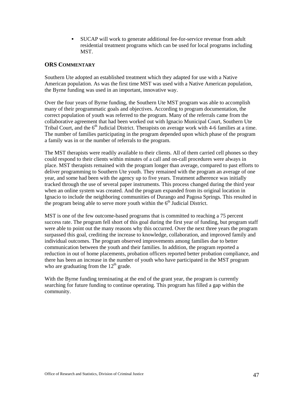SUCAP will work to generate additional fee-for-service revenue from adult residential treatment programs which can be used for local programs including **MST** 

# **ORS COMMENTARY**

Southern Ute adopted an established treatment which they adapted for use with a Native American population. As was the first time MST was used with a Native American population, the Byrne funding was used in an important, innovative way.

Over the four years of Byrne funding, the Southern Ute MST program was able to accomplish many of their programmatic goals and objectives. According to program documentation, the correct population of youth was referred to the program. Many of the referrals came from the collaborative agreement that had been worked out with Ignacio Municipal Court, Southern Ute Tribal Court, and the  $6<sup>th</sup>$  Judicial District. Therapists on average work with 4-6 families at a time. The number of families participating in the program depended upon which phase of the program a family was in or the number of referrals to the program.

The MST therapists were readily available to their clients. All of them carried cell phones so they could respond to their clients within minutes of a call and on-call procedures were always in place. MST therapists remained with the program longer than average, compared to past efforts to deliver programming to Southern Ute youth. They remained with the program an average of one year, and some had been with the agency up to five years. Treatment adherence was initially tracked through the use of several paper instruments. This process changed during the third year when an online system was created. And the program expanded from its original location in Ignacio to include the neighboring communities of Durango and Pagosa Springs. This resulted in the program being able to serve more youth within the  $6<sup>th</sup>$  Judicial District.

MST is one of the few outcome-based programs that is committed to reaching a 75 percent success rate. The program fell short of this goal during the first year of funding, but program staff were able to point out the many reasons why this occurred. Over the next three years the program surpassed this goal, crediting the increase to knowledge, collaboration, and improved family and individual outcomes. The program observed improvements among families due to better communication between the youth and their families. In addition, the program reported a reduction in out of home placements, probation officers reported better probation compliance, and there has been an increase in the number of youth who have participated in the MST program who are graduating from the  $12<sup>th</sup>$  grade.

With the Byrne funding terminating at the end of the grant year, the program is currently searching for future funding to continue operating. This program has filled a gap within the community.